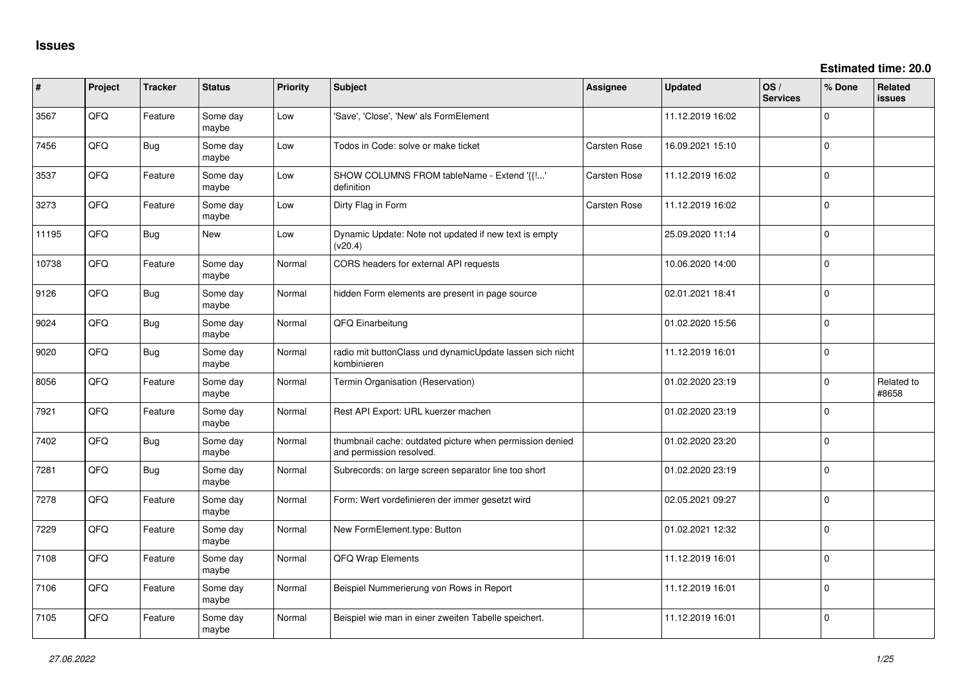| ∦     | Project | <b>Tracker</b> | <b>Status</b>     | <b>Priority</b> | <b>Subject</b>                                                                       | <b>Assignee</b>     | <b>Updated</b>   | OS/<br><b>Services</b> | % Done      | <b>Related</b><br><b>issues</b> |
|-------|---------|----------------|-------------------|-----------------|--------------------------------------------------------------------------------------|---------------------|------------------|------------------------|-------------|---------------------------------|
| 3567  | QFQ     | Feature        | Some day<br>maybe | Low             | 'Save', 'Close', 'New' als FormElement                                               |                     | 11.12.2019 16:02 |                        | $\Omega$    |                                 |
| 7456  | QFQ     | Bug            | Some day<br>maybe | Low             | Todos in Code: solve or make ticket                                                  | Carsten Rose        | 16.09.2021 15:10 |                        | $\Omega$    |                                 |
| 3537  | QFQ     | Feature        | Some day<br>maybe | Low             | SHOW COLUMNS FROM tableName - Extend '{{!'<br>definition                             | Carsten Rose        | 11.12.2019 16:02 |                        | $\Omega$    |                                 |
| 3273  | QFQ     | Feature        | Some day<br>maybe | Low             | Dirty Flag in Form                                                                   | <b>Carsten Rose</b> | 11.12.2019 16:02 |                        | $\mathbf 0$ |                                 |
| 11195 | QFQ     | Bug            | <b>New</b>        | Low             | Dynamic Update: Note not updated if new text is empty<br>(v20.4)                     |                     | 25.09.2020 11:14 |                        | $\mathbf 0$ |                                 |
| 10738 | QFQ     | Feature        | Some day<br>maybe | Normal          | CORS headers for external API requests                                               |                     | 10.06.2020 14:00 |                        | $\Omega$    |                                 |
| 9126  | QFQ     | <b>Bug</b>     | Some day<br>maybe | Normal          | hidden Form elements are present in page source                                      |                     | 02.01.2021 18:41 |                        | $\Omega$    |                                 |
| 9024  | QFQ     | <b>Bug</b>     | Some day<br>maybe | Normal          | QFQ Einarbeitung                                                                     |                     | 01.02.2020 15:56 |                        | $\mathbf 0$ |                                 |
| 9020  | QFQ     | <b>Bug</b>     | Some day<br>maybe | Normal          | radio mit buttonClass und dynamicUpdate lassen sich nicht<br>kombinieren             |                     | 11.12.2019 16:01 |                        | $\mathbf 0$ |                                 |
| 8056  | QFQ     | Feature        | Some day<br>maybe | Normal          | Termin Organisation (Reservation)                                                    |                     | 01.02.2020 23:19 |                        | $\mathbf 0$ | Related to<br>#8658             |
| 7921  | QFQ     | Feature        | Some day<br>maybe | Normal          | Rest API Export: URL kuerzer machen                                                  |                     | 01.02.2020 23:19 |                        | $\mathbf 0$ |                                 |
| 7402  | QFQ     | <b>Bug</b>     | Some day<br>maybe | Normal          | thumbnail cache: outdated picture when permission denied<br>and permission resolved. |                     | 01.02.2020 23:20 |                        | $\Omega$    |                                 |
| 7281  | QFQ     | Bug            | Some day<br>maybe | Normal          | Subrecords: on large screen separator line too short                                 |                     | 01.02.2020 23:19 |                        | $\mathbf 0$ |                                 |
| 7278  | QFQ     | Feature        | Some day<br>maybe | Normal          | Form: Wert vordefinieren der immer gesetzt wird                                      |                     | 02.05.2021 09:27 |                        | $\mathbf 0$ |                                 |
| 7229  | QFQ     | Feature        | Some day<br>maybe | Normal          | New FormElement.type: Button                                                         |                     | 01.02.2021 12:32 |                        | $\mathbf 0$ |                                 |
| 7108  | QFQ     | Feature        | Some day<br>maybe | Normal          | <b>QFQ Wrap Elements</b>                                                             |                     | 11.12.2019 16:01 |                        | $\mathbf 0$ |                                 |
| 7106  | QFQ     | Feature        | Some day<br>maybe | Normal          | Beispiel Nummerierung von Rows in Report                                             |                     | 11.12.2019 16:01 |                        | $\Omega$    |                                 |
| 7105  | QFQ     | Feature        | Some day<br>maybe | Normal          | Beispiel wie man in einer zweiten Tabelle speichert.                                 |                     | 11.12.2019 16:01 |                        | $\mathbf 0$ |                                 |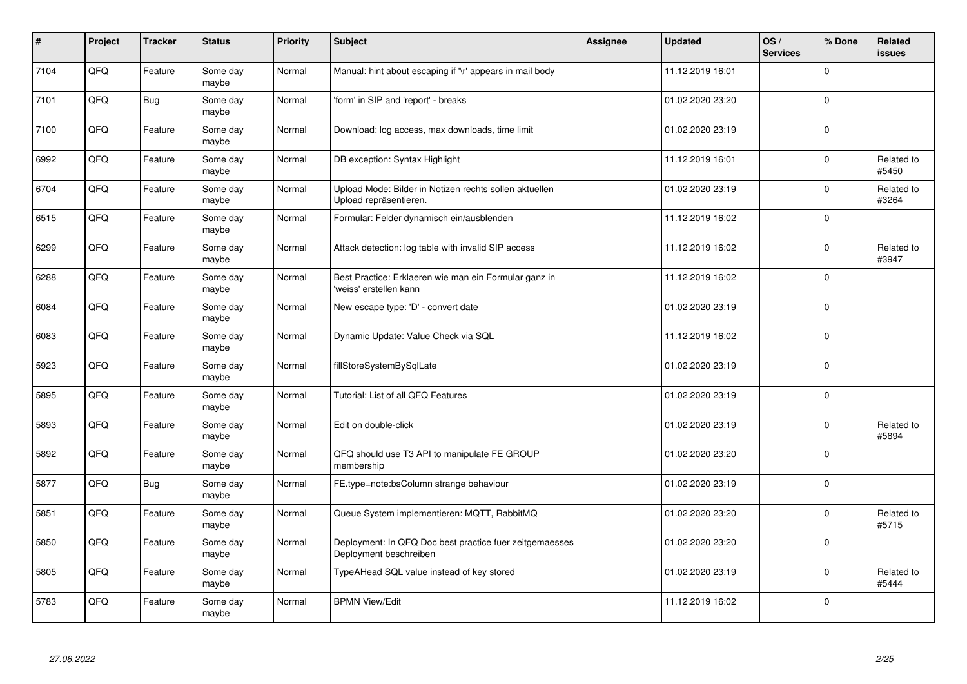| $\vert$ # | Project    | <b>Tracker</b> | <b>Status</b>     | <b>Priority</b> | <b>Subject</b>                                                                    | Assignee | <b>Updated</b>   | OS/<br><b>Services</b> | % Done       | Related<br>issues   |
|-----------|------------|----------------|-------------------|-----------------|-----------------------------------------------------------------------------------|----------|------------------|------------------------|--------------|---------------------|
| 7104      | QFQ        | Feature        | Some day<br>maybe | Normal          | Manual: hint about escaping if '\r' appears in mail body                          |          | 11.12.2019 16:01 |                        | $\Omega$     |                     |
| 7101      | QFQ        | <b>Bug</b>     | Some day<br>maybe | Normal          | 'form' in SIP and 'report' - breaks                                               |          | 01.02.2020 23:20 |                        | $\Omega$     |                     |
| 7100      | QFQ        | Feature        | Some day<br>maybe | Normal          | Download: log access, max downloads, time limit                                   |          | 01.02.2020 23:19 |                        | $\Omega$     |                     |
| 6992      | QFQ        | Feature        | Some day<br>maybe | Normal          | DB exception: Syntax Highlight                                                    |          | 11.12.2019 16:01 |                        | $\Omega$     | Related to<br>#5450 |
| 6704      | QFQ        | Feature        | Some day<br>maybe | Normal          | Upload Mode: Bilder in Notizen rechts sollen aktuellen<br>Upload repräsentieren.  |          | 01.02.2020 23:19 |                        | $\Omega$     | Related to<br>#3264 |
| 6515      | <b>OFO</b> | Feature        | Some day<br>maybe | Normal          | Formular: Felder dynamisch ein/ausblenden                                         |          | 11.12.2019 16:02 |                        | $\Omega$     |                     |
| 6299      | QFQ        | Feature        | Some day<br>maybe | Normal          | Attack detection: log table with invalid SIP access                               |          | 11.12.2019 16:02 |                        | $\Omega$     | Related to<br>#3947 |
| 6288      | QFQ        | Feature        | Some day<br>maybe | Normal          | Best Practice: Erklaeren wie man ein Formular ganz in<br>'weiss' erstellen kann   |          | 11.12.2019 16:02 |                        | $\Omega$     |                     |
| 6084      | QFQ        | Feature        | Some day<br>maybe | Normal          | New escape type: 'D' - convert date                                               |          | 01.02.2020 23:19 |                        | $\Omega$     |                     |
| 6083      | QFQ        | Feature        | Some day<br>maybe | Normal          | Dynamic Update: Value Check via SQL                                               |          | 11.12.2019 16:02 |                        | $\Omega$     |                     |
| 5923      | QFQ        | Feature        | Some day<br>maybe | Normal          | fillStoreSystemBySqlLate                                                          |          | 01.02.2020 23:19 |                        | $\mathbf 0$  |                     |
| 5895      | QFQ        | Feature        | Some day<br>maybe | Normal          | Tutorial: List of all QFQ Features                                                |          | 01.02.2020 23:19 |                        | $\mathbf 0$  |                     |
| 5893      | QFQ        | Feature        | Some day<br>maybe | Normal          | Edit on double-click                                                              |          | 01.02.2020 23:19 |                        | $\mathbf 0$  | Related to<br>#5894 |
| 5892      | QFQ        | Feature        | Some day<br>maybe | Normal          | QFQ should use T3 API to manipulate FE GROUP<br>membership                        |          | 01.02.2020 23:20 |                        | $\mathbf 0$  |                     |
| 5877      | QFQ        | Bug            | Some day<br>maybe | Normal          | FE.type=note:bsColumn strange behaviour                                           |          | 01.02.2020 23:19 |                        | $\Omega$     |                     |
| 5851      | QFQ        | Feature        | Some day<br>maybe | Normal          | Queue System implementieren: MQTT, RabbitMQ                                       |          | 01.02.2020 23:20 |                        | $\Omega$     | Related to<br>#5715 |
| 5850      | QFQ        | Feature        | Some day<br>maybe | Normal          | Deployment: In QFQ Doc best practice fuer zeitgemaesses<br>Deployment beschreiben |          | 01.02.2020 23:20 |                        | $\mathbf{0}$ |                     |
| 5805      | QFQ        | Feature        | Some day<br>maybe | Normal          | TypeAHead SQL value instead of key stored                                         |          | 01.02.2020 23:19 |                        | $\Omega$     | Related to<br>#5444 |
| 5783      | QFQ        | Feature        | Some day<br>maybe | Normal          | <b>BPMN View/Edit</b>                                                             |          | 11.12.2019 16:02 |                        | $\Omega$     |                     |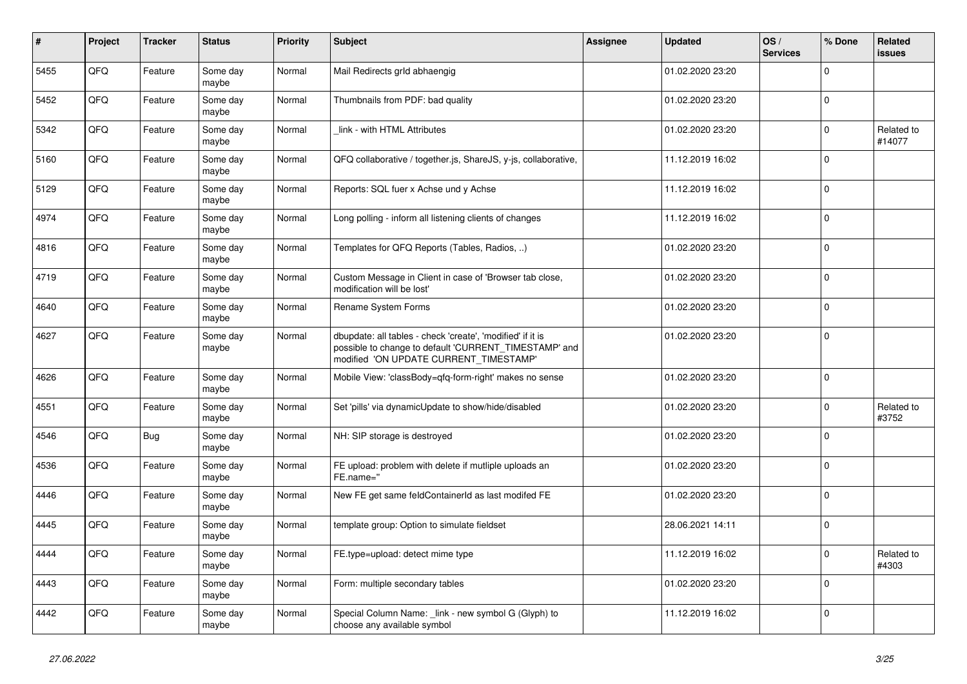| $\sharp$ | Project | <b>Tracker</b> | <b>Status</b>     | <b>Priority</b> | <b>Subject</b>                                                                                                                                                | Assignee | <b>Updated</b>   | OS/<br><b>Services</b> | % Done      | Related<br>issues    |
|----------|---------|----------------|-------------------|-----------------|---------------------------------------------------------------------------------------------------------------------------------------------------------------|----------|------------------|------------------------|-------------|----------------------|
| 5455     | QFQ     | Feature        | Some day<br>maybe | Normal          | Mail Redirects grld abhaengig                                                                                                                                 |          | 01.02.2020 23:20 |                        | $\Omega$    |                      |
| 5452     | QFQ     | Feature        | Some day<br>maybe | Normal          | Thumbnails from PDF: bad quality                                                                                                                              |          | 01.02.2020 23:20 |                        | $\Omega$    |                      |
| 5342     | QFQ     | Feature        | Some day<br>maybe | Normal          | link - with HTML Attributes                                                                                                                                   |          | 01.02.2020 23:20 |                        | $\Omega$    | Related to<br>#14077 |
| 5160     | QFQ     | Feature        | Some day<br>maybe | Normal          | QFQ collaborative / together.js, ShareJS, y-js, collaborative,                                                                                                |          | 11.12.2019 16:02 |                        | $\Omega$    |                      |
| 5129     | QFQ     | Feature        | Some day<br>maybe | Normal          | Reports: SQL fuer x Achse und y Achse                                                                                                                         |          | 11.12.2019 16:02 |                        | $\Omega$    |                      |
| 4974     | QFQ     | Feature        | Some day<br>maybe | Normal          | Long polling - inform all listening clients of changes                                                                                                        |          | 11.12.2019 16:02 |                        | $\Omega$    |                      |
| 4816     | QFQ     | Feature        | Some day<br>maybe | Normal          | Templates for QFQ Reports (Tables, Radios, )                                                                                                                  |          | 01.02.2020 23:20 |                        | $\Omega$    |                      |
| 4719     | QFQ     | Feature        | Some day<br>maybe | Normal          | Custom Message in Client in case of 'Browser tab close,<br>modification will be lost'                                                                         |          | 01.02.2020 23:20 |                        | $\mathbf 0$ |                      |
| 4640     | QFQ     | Feature        | Some day<br>maybe | Normal          | Rename System Forms                                                                                                                                           |          | 01.02.2020 23:20 |                        | $\Omega$    |                      |
| 4627     | QFQ     | Feature        | Some day<br>maybe | Normal          | dbupdate: all tables - check 'create', 'modified' if it is<br>possible to change to default 'CURRENT_TIMESTAMP' and<br>modified 'ON UPDATE CURRENT_TIMESTAMP' |          | 01.02.2020 23:20 |                        | $\Omega$    |                      |
| 4626     | QFQ     | Feature        | Some day<br>maybe | Normal          | Mobile View: 'classBody=qfq-form-right' makes no sense                                                                                                        |          | 01.02.2020 23:20 |                        | $\Omega$    |                      |
| 4551     | QFQ     | Feature        | Some day<br>maybe | Normal          | Set 'pills' via dynamicUpdate to show/hide/disabled                                                                                                           |          | 01.02.2020 23:20 |                        | $\Omega$    | Related to<br>#3752  |
| 4546     | QFQ     | Bug            | Some day<br>maybe | Normal          | NH: SIP storage is destroyed                                                                                                                                  |          | 01.02.2020 23:20 |                        | $\Omega$    |                      |
| 4536     | QFQ     | Feature        | Some day<br>maybe | Normal          | FE upload: problem with delete if mutliple uploads an<br>FE.name="                                                                                            |          | 01.02.2020 23:20 |                        | $\Omega$    |                      |
| 4446     | QFQ     | Feature        | Some day<br>maybe | Normal          | New FE get same feldContainerId as last modifed FE                                                                                                            |          | 01.02.2020 23:20 |                        | $\Omega$    |                      |
| 4445     | QFQ     | Feature        | Some day<br>maybe | Normal          | template group: Option to simulate fieldset                                                                                                                   |          | 28.06.2021 14:11 |                        | $\mathbf 0$ |                      |
| 4444     | QFQ     | Feature        | Some day<br>maybe | Normal          | FE.type=upload: detect mime type                                                                                                                              |          | 11.12.2019 16:02 |                        | $\Omega$    | Related to<br>#4303  |
| 4443     | QFQ     | Feature        | Some day<br>maybe | Normal          | Form: multiple secondary tables                                                                                                                               |          | 01.02.2020 23:20 |                        | $\Omega$    |                      |
| 4442     | QFQ     | Feature        | Some day<br>maybe | Normal          | Special Column Name: link - new symbol G (Glyph) to<br>choose any available symbol                                                                            |          | 11.12.2019 16:02 |                        | $\Omega$    |                      |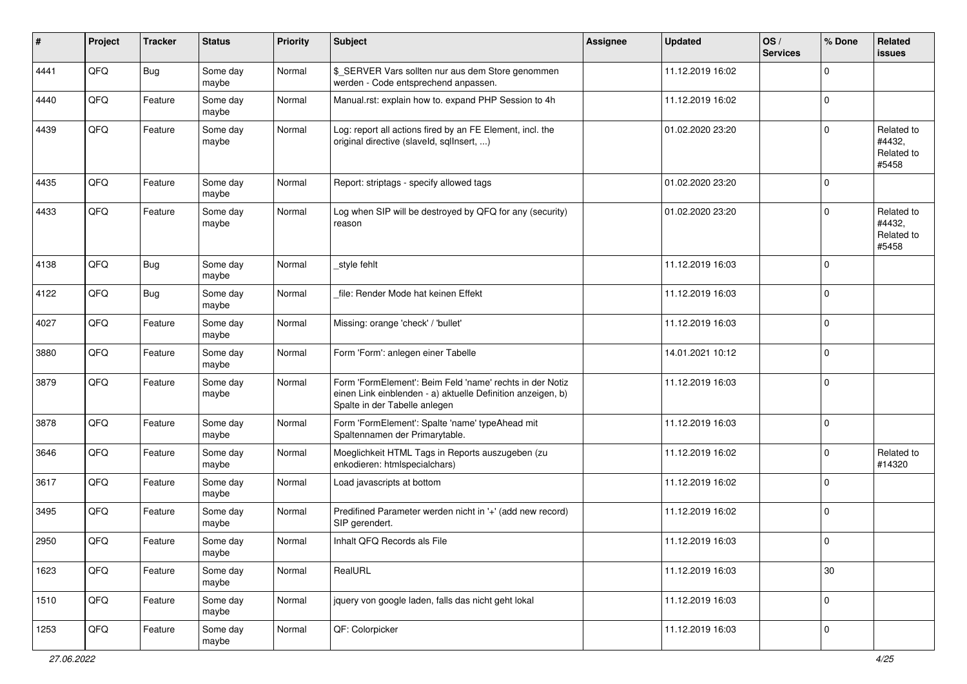| #    | Project | <b>Tracker</b> | <b>Status</b>     | <b>Priority</b> | Subject                                                                                                                                                  | Assignee | <b>Updated</b>   | OS/<br><b>Services</b> | % Done      | Related<br><b>issues</b>                    |
|------|---------|----------------|-------------------|-----------------|----------------------------------------------------------------------------------------------------------------------------------------------------------|----------|------------------|------------------------|-------------|---------------------------------------------|
| 4441 | QFQ     | Bug            | Some day<br>maybe | Normal          | \$_SERVER Vars sollten nur aus dem Store genommen<br>werden - Code entsprechend anpassen.                                                                |          | 11.12.2019 16:02 |                        | $\Omega$    |                                             |
| 4440 | QFQ     | Feature        | Some day<br>maybe | Normal          | Manual.rst: explain how to. expand PHP Session to 4h                                                                                                     |          | 11.12.2019 16:02 |                        | $\mathbf 0$ |                                             |
| 4439 | QFQ     | Feature        | Some day<br>maybe | Normal          | Log: report all actions fired by an FE Element, incl. the<br>original directive (slaveld, sqllnsert, )                                                   |          | 01.02.2020 23:20 |                        | $\Omega$    | Related to<br>#4432.<br>Related to<br>#5458 |
| 4435 | QFQ     | Feature        | Some day<br>maybe | Normal          | Report: striptags - specify allowed tags                                                                                                                 |          | 01.02.2020 23:20 |                        | $\mathbf 0$ |                                             |
| 4433 | QFQ     | Feature        | Some day<br>maybe | Normal          | Log when SIP will be destroyed by QFQ for any (security)<br>reason                                                                                       |          | 01.02.2020 23:20 |                        | $\Omega$    | Related to<br>#4432,<br>Related to<br>#5458 |
| 4138 | QFQ     | Bug            | Some day<br>maybe | Normal          | style fehlt                                                                                                                                              |          | 11.12.2019 16:03 |                        | $\mathbf 0$ |                                             |
| 4122 | QFQ     | Bug            | Some day<br>maybe | Normal          | file: Render Mode hat keinen Effekt                                                                                                                      |          | 11.12.2019 16:03 |                        | $\mathbf 0$ |                                             |
| 4027 | QFQ     | Feature        | Some day<br>maybe | Normal          | Missing: orange 'check' / 'bullet'                                                                                                                       |          | 11.12.2019 16:03 |                        | 0           |                                             |
| 3880 | QFQ     | Feature        | Some day<br>maybe | Normal          | Form 'Form': anlegen einer Tabelle                                                                                                                       |          | 14.01.2021 10:12 |                        | $\Omega$    |                                             |
| 3879 | QFQ     | Feature        | Some day<br>maybe | Normal          | Form 'FormElement': Beim Feld 'name' rechts in der Notiz<br>einen Link einblenden - a) aktuelle Definition anzeigen, b)<br>Spalte in der Tabelle anlegen |          | 11.12.2019 16:03 |                        | $\mathbf 0$ |                                             |
| 3878 | QFQ     | Feature        | Some day<br>maybe | Normal          | Form 'FormElement': Spalte 'name' typeAhead mit<br>Spaltennamen der Primarytable.                                                                        |          | 11.12.2019 16:03 |                        | $\mathbf 0$ |                                             |
| 3646 | QFQ     | Feature        | Some day<br>maybe | Normal          | Moeglichkeit HTML Tags in Reports auszugeben (zu<br>enkodieren: htmlspecialchars)                                                                        |          | 11.12.2019 16:02 |                        | $\Omega$    | Related to<br>#14320                        |
| 3617 | QFQ     | Feature        | Some day<br>maybe | Normal          | Load javascripts at bottom                                                                                                                               |          | 11.12.2019 16:02 |                        | $\Omega$    |                                             |
| 3495 | QFQ     | Feature        | Some day<br>maybe | Normal          | Predifined Parameter werden nicht in '+' (add new record)<br>SIP gerendert.                                                                              |          | 11.12.2019 16:02 |                        | $\mathbf 0$ |                                             |
| 2950 | QFQ     | Feature        | Some day<br>maybe | Normal          | Inhalt QFQ Records als File                                                                                                                              |          | 11.12.2019 16:03 |                        | $\Omega$    |                                             |
| 1623 | QFQ     | Feature        | Some day<br>maybe | Normal          | RealURL                                                                                                                                                  |          | 11.12.2019 16:03 |                        | $30\,$      |                                             |
| 1510 | QFQ     | Feature        | Some day<br>maybe | Normal          | jquery von google laden, falls das nicht geht lokal                                                                                                      |          | 11.12.2019 16:03 |                        | $\mathbf 0$ |                                             |
| 1253 | QFG     | Feature        | Some day<br>maybe | Normal          | QF: Colorpicker                                                                                                                                          |          | 11.12.2019 16:03 |                        | 0           |                                             |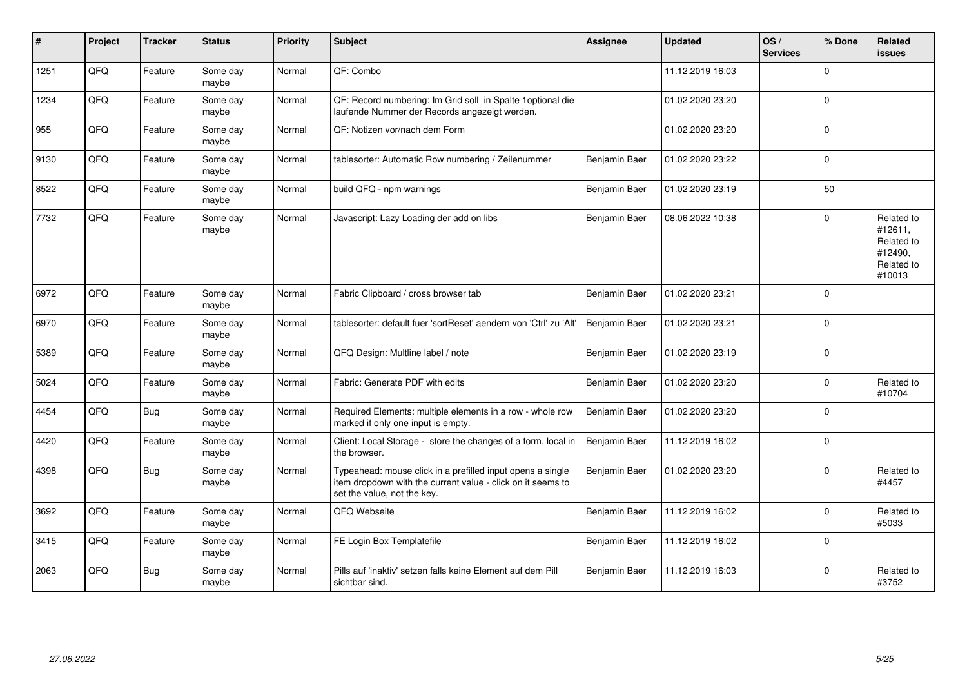| #    | Project | <b>Tracker</b> | <b>Status</b>     | <b>Priority</b> | Subject                                                                                                                                                  | <b>Assignee</b> | <b>Updated</b>   | OS/<br><b>Services</b> | % Done   | Related<br><b>issues</b>                                               |
|------|---------|----------------|-------------------|-----------------|----------------------------------------------------------------------------------------------------------------------------------------------------------|-----------------|------------------|------------------------|----------|------------------------------------------------------------------------|
| 1251 | QFQ     | Feature        | Some day<br>maybe | Normal          | QF: Combo                                                                                                                                                |                 | 11.12.2019 16:03 |                        | $\Omega$ |                                                                        |
| 1234 | QFQ     | Feature        | Some day<br>maybe | Normal          | QF: Record numbering: Im Grid soll in Spalte 1 optional die<br>laufende Nummer der Records angezeigt werden.                                             |                 | 01.02.2020 23:20 |                        | $\Omega$ |                                                                        |
| 955  | QFQ     | Feature        | Some day<br>maybe | Normal          | QF: Notizen vor/nach dem Form                                                                                                                            |                 | 01.02.2020 23:20 |                        | $\Omega$ |                                                                        |
| 9130 | QFQ     | Feature        | Some day<br>maybe | Normal          | tablesorter: Automatic Row numbering / Zeilenummer                                                                                                       | Benjamin Baer   | 01.02.2020 23:22 |                        | $\Omega$ |                                                                        |
| 8522 | QFQ     | Feature        | Some day<br>maybe | Normal          | build QFQ - npm warnings                                                                                                                                 | Benjamin Baer   | 01.02.2020 23:19 |                        | 50       |                                                                        |
| 7732 | QFQ     | Feature        | Some day<br>maybe | Normal          | Javascript: Lazy Loading der add on libs                                                                                                                 | Benjamin Baer   | 08.06.2022 10:38 |                        | $\Omega$ | Related to<br>#12611,<br>Related to<br>#12490,<br>Related to<br>#10013 |
| 6972 | QFQ     | Feature        | Some day<br>maybe | Normal          | Fabric Clipboard / cross browser tab                                                                                                                     | Benjamin Baer   | 01.02.2020 23:21 |                        | $\Omega$ |                                                                        |
| 6970 | QFQ     | Feature        | Some day<br>maybe | Normal          | tablesorter: default fuer 'sortReset' aendern von 'Ctrl' zu 'Alt'                                                                                        | Benjamin Baer   | 01.02.2020 23:21 |                        | $\Omega$ |                                                                        |
| 5389 | QFQ     | Feature        | Some day<br>maybe | Normal          | QFQ Design: Multline label / note                                                                                                                        | Benjamin Baer   | 01.02.2020 23:19 |                        | $\Omega$ |                                                                        |
| 5024 | QFQ     | Feature        | Some day<br>maybe | Normal          | Fabric: Generate PDF with edits                                                                                                                          | Benjamin Baer   | 01.02.2020 23:20 |                        | $\Omega$ | Related to<br>#10704                                                   |
| 4454 | QFQ     | Bug            | Some day<br>maybe | Normal          | Required Elements: multiple elements in a row - whole row<br>marked if only one input is empty.                                                          | Benjamin Baer   | 01.02.2020 23:20 |                        | $\Omega$ |                                                                        |
| 4420 | QFQ     | Feature        | Some day<br>maybe | Normal          | Client: Local Storage - store the changes of a form, local in<br>the browser.                                                                            | Benjamin Baer   | 11.12.2019 16:02 |                        | $\Omega$ |                                                                        |
| 4398 | QFQ     | Bug            | Some day<br>maybe | Normal          | Typeahead: mouse click in a prefilled input opens a single<br>item dropdown with the current value - click on it seems to<br>set the value, not the key. | Benjamin Baer   | 01.02.2020 23:20 |                        | $\Omega$ | Related to<br>#4457                                                    |
| 3692 | QFQ     | Feature        | Some day<br>maybe | Normal          | QFQ Webseite                                                                                                                                             | Benjamin Baer   | 11.12.2019 16:02 |                        | $\Omega$ | Related to<br>#5033                                                    |
| 3415 | QFQ     | Feature        | Some day<br>maybe | Normal          | FE Login Box Templatefile                                                                                                                                | Benjamin Baer   | 11.12.2019 16:02 |                        | $\Omega$ |                                                                        |
| 2063 | QFQ     | Bug            | Some day<br>maybe | Normal          | Pills auf 'inaktiv' setzen falls keine Element auf dem Pill<br>sichtbar sind.                                                                            | Benjamin Baer   | 11.12.2019 16:03 |                        | $\Omega$ | Related to<br>#3752                                                    |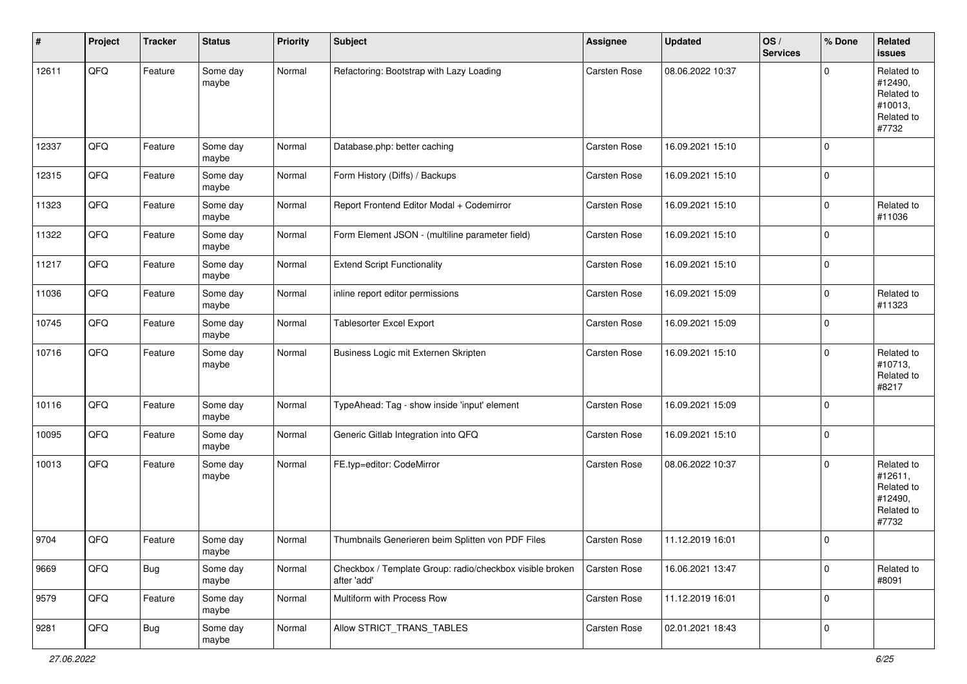| #     | Project | <b>Tracker</b> | <b>Status</b>     | <b>Priority</b> | <b>Subject</b>                                                          | Assignee     | <b>Updated</b>   | OS/<br><b>Services</b> | % Done      | Related<br>issues                                                     |
|-------|---------|----------------|-------------------|-----------------|-------------------------------------------------------------------------|--------------|------------------|------------------------|-------------|-----------------------------------------------------------------------|
| 12611 | QFQ     | Feature        | Some day<br>maybe | Normal          | Refactoring: Bootstrap with Lazy Loading                                | Carsten Rose | 08.06.2022 10:37 |                        | $\Omega$    | Related to<br>#12490,<br>Related to<br>#10013,<br>Related to<br>#7732 |
| 12337 | QFQ     | Feature        | Some day<br>maybe | Normal          | Database.php: better caching                                            | Carsten Rose | 16.09.2021 15:10 |                        | $\mathbf 0$ |                                                                       |
| 12315 | QFQ     | Feature        | Some day<br>maybe | Normal          | Form History (Diffs) / Backups                                          | Carsten Rose | 16.09.2021 15:10 |                        | $\mathbf 0$ |                                                                       |
| 11323 | QFQ     | Feature        | Some day<br>maybe | Normal          | Report Frontend Editor Modal + Codemirror                               | Carsten Rose | 16.09.2021 15:10 |                        | $\Omega$    | Related to<br>#11036                                                  |
| 11322 | QFQ     | Feature        | Some day<br>maybe | Normal          | Form Element JSON - (multiline parameter field)                         | Carsten Rose | 16.09.2021 15:10 |                        | $\mathbf 0$ |                                                                       |
| 11217 | QFQ     | Feature        | Some day<br>maybe | Normal          | <b>Extend Script Functionality</b>                                      | Carsten Rose | 16.09.2021 15:10 |                        | 0           |                                                                       |
| 11036 | QFQ     | Feature        | Some day<br>maybe | Normal          | inline report editor permissions                                        | Carsten Rose | 16.09.2021 15:09 |                        | $\Omega$    | Related to<br>#11323                                                  |
| 10745 | QFQ     | Feature        | Some day<br>maybe | Normal          | <b>Tablesorter Excel Export</b>                                         | Carsten Rose | 16.09.2021 15:09 |                        | $\mathbf 0$ |                                                                       |
| 10716 | QFQ     | Feature        | Some day<br>maybe | Normal          | Business Logic mit Externen Skripten                                    | Carsten Rose | 16.09.2021 15:10 |                        | $\Omega$    | Related to<br>#10713,<br>Related to<br>#8217                          |
| 10116 | QFQ     | Feature        | Some day<br>maybe | Normal          | TypeAhead: Tag - show inside 'input' element                            | Carsten Rose | 16.09.2021 15:09 |                        | $\Omega$    |                                                                       |
| 10095 | QFQ     | Feature        | Some day<br>maybe | Normal          | Generic Gitlab Integration into QFQ                                     | Carsten Rose | 16.09.2021 15:10 |                        | $\mathbf 0$ |                                                                       |
| 10013 | QFQ     | Feature        | Some day<br>maybe | Normal          | FE.typ=editor: CodeMirror                                               | Carsten Rose | 08.06.2022 10:37 |                        | $\Omega$    | Related to<br>#12611,<br>Related to<br>#12490,<br>Related to<br>#7732 |
| 9704  | QFQ     | Feature        | Some day<br>maybe | Normal          | Thumbnails Generieren beim Splitten von PDF Files                       | Carsten Rose | 11.12.2019 16:01 |                        | $\mathbf 0$ |                                                                       |
| 9669  | QFQ     | Bug            | Some day<br>maybe | Normal          | Checkbox / Template Group: radio/checkbox visible broken<br>after 'add' | Carsten Rose | 16.06.2021 13:47 |                        | $\mathbf 0$ | Related to<br>#8091                                                   |
| 9579  | QFQ     | Feature        | Some day<br>maybe | Normal          | Multiform with Process Row                                              | Carsten Rose | 11.12.2019 16:01 |                        | $\mathbf 0$ |                                                                       |
| 9281  | QFQ     | <b>Bug</b>     | Some day<br>maybe | Normal          | Allow STRICT_TRANS_TABLES                                               | Carsten Rose | 02.01.2021 18:43 |                        | $\mathbf 0$ |                                                                       |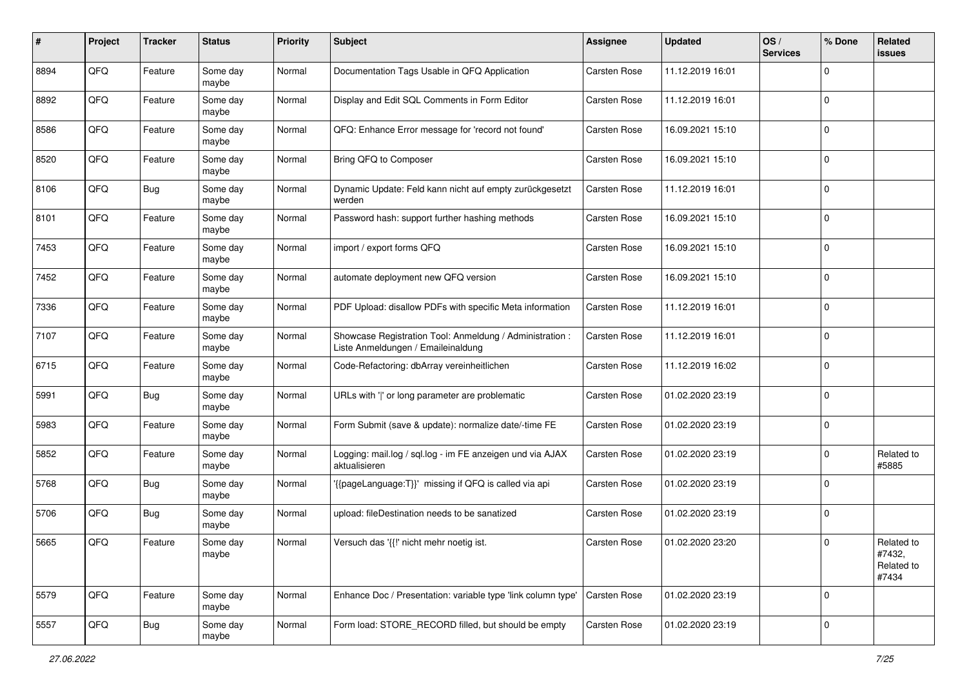| #    | Project | <b>Tracker</b> | <b>Status</b>     | <b>Priority</b> | <b>Subject</b>                                                                                 | <b>Assignee</b>     | <b>Updated</b>   | OS/<br><b>Services</b> | % Done      | Related<br>issues                           |
|------|---------|----------------|-------------------|-----------------|------------------------------------------------------------------------------------------------|---------------------|------------------|------------------------|-------------|---------------------------------------------|
| 8894 | QFQ     | Feature        | Some day<br>maybe | Normal          | Documentation Tags Usable in QFQ Application                                                   | Carsten Rose        | 11.12.2019 16:01 |                        | $\Omega$    |                                             |
| 8892 | QFQ     | Feature        | Some day<br>maybe | Normal          | Display and Edit SQL Comments in Form Editor                                                   | Carsten Rose        | 11.12.2019 16:01 |                        | 0           |                                             |
| 8586 | QFQ     | Feature        | Some day<br>maybe | Normal          | QFQ: Enhance Error message for 'record not found'                                              | Carsten Rose        | 16.09.2021 15:10 |                        | $\Omega$    |                                             |
| 8520 | QFQ     | Feature        | Some day<br>maybe | Normal          | Bring QFQ to Composer                                                                          | <b>Carsten Rose</b> | 16.09.2021 15:10 |                        | 0           |                                             |
| 8106 | QFQ     | <b>Bug</b>     | Some day<br>maybe | Normal          | Dynamic Update: Feld kann nicht auf empty zurückgesetzt<br>werden                              | <b>Carsten Rose</b> | 11.12.2019 16:01 |                        | $\Omega$    |                                             |
| 8101 | QFQ     | Feature        | Some day<br>maybe | Normal          | Password hash: support further hashing methods                                                 | Carsten Rose        | 16.09.2021 15:10 |                        | $\Omega$    |                                             |
| 7453 | QFQ     | Feature        | Some day<br>maybe | Normal          | import / export forms QFQ                                                                      | Carsten Rose        | 16.09.2021 15:10 |                        | $\mathbf 0$ |                                             |
| 7452 | QFQ     | Feature        | Some day<br>maybe | Normal          | automate deployment new QFQ version                                                            | Carsten Rose        | 16.09.2021 15:10 |                        | 0           |                                             |
| 7336 | QFQ     | Feature        | Some day<br>maybe | Normal          | PDF Upload: disallow PDFs with specific Meta information                                       | Carsten Rose        | 11.12.2019 16:01 |                        | $\mathbf 0$ |                                             |
| 7107 | QFQ     | Feature        | Some day<br>maybe | Normal          | Showcase Registration Tool: Anmeldung / Administration :<br>Liste Anmeldungen / Emaileinaldung | Carsten Rose        | 11.12.2019 16:01 |                        | 0           |                                             |
| 6715 | QFQ     | Feature        | Some day<br>maybe | Normal          | Code-Refactoring: dbArray vereinheitlichen                                                     | Carsten Rose        | 11.12.2019 16:02 |                        | $\Omega$    |                                             |
| 5991 | QFQ     | <b>Bug</b>     | Some day<br>maybe | Normal          | URLs with ' ' or long parameter are problematic                                                | Carsten Rose        | 01.02.2020 23:19 |                        | $\Omega$    |                                             |
| 5983 | QFQ     | Feature        | Some day<br>maybe | Normal          | Form Submit (save & update): normalize date/-time FE                                           | <b>Carsten Rose</b> | 01.02.2020 23:19 |                        | $\Omega$    |                                             |
| 5852 | QFQ     | Feature        | Some day<br>maybe | Normal          | Logging: mail.log / sql.log - im FE anzeigen und via AJAX<br>aktualisieren                     | Carsten Rose        | 01.02.2020 23:19 |                        | 0           | Related to<br>#5885                         |
| 5768 | QFQ     | Bug            | Some day<br>maybe | Normal          | {{pageLanguage:T}}' missing if QFQ is called via api                                           | Carsten Rose        | 01.02.2020 23:19 |                        | $\mathbf 0$ |                                             |
| 5706 | QFQ     | Bug            | Some day<br>maybe | Normal          | upload: fileDestination needs to be sanatized                                                  | Carsten Rose        | 01.02.2020 23:19 |                        | $\mathbf 0$ |                                             |
| 5665 | QFQ     | Feature        | Some day<br>maybe | Normal          | Versuch das '{{!' nicht mehr noetig ist.                                                       | <b>Carsten Rose</b> | 01.02.2020 23:20 |                        | $\Omega$    | Related to<br>#7432,<br>Related to<br>#7434 |
| 5579 | QFQ     | Feature        | Some day<br>maybe | Normal          | Enhance Doc / Presentation: variable type 'link column type'                                   | <b>Carsten Rose</b> | 01.02.2020 23:19 |                        | 0           |                                             |
| 5557 | QFG     | <b>Bug</b>     | Some day<br>maybe | Normal          | Form load: STORE_RECORD filled, but should be empty                                            | Carsten Rose        | 01.02.2020 23:19 |                        | 0           |                                             |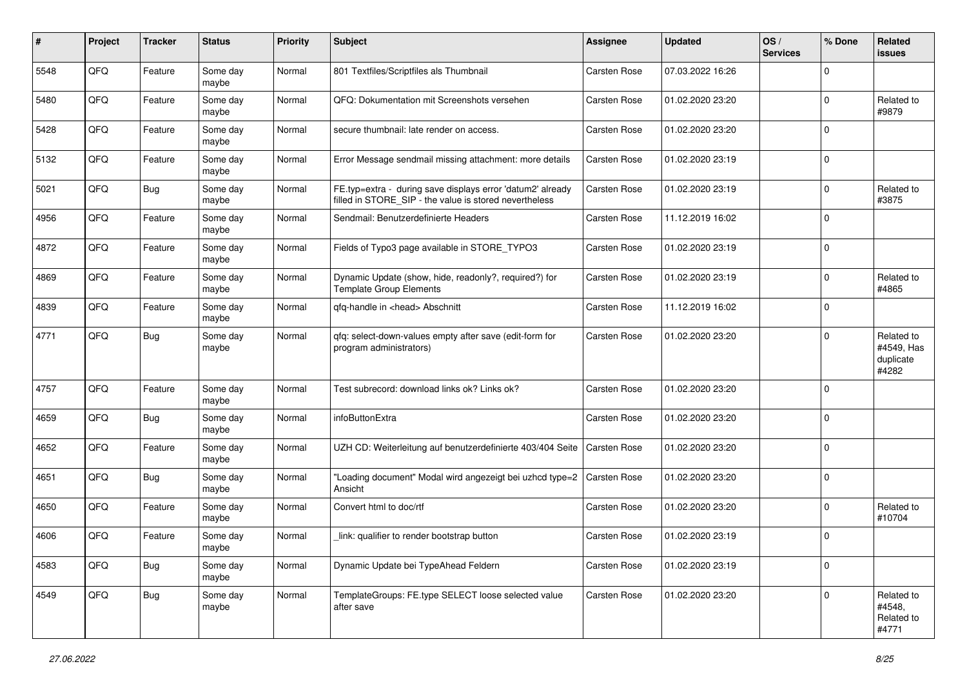| #    | Project | <b>Tracker</b> | <b>Status</b>     | <b>Priority</b> | <b>Subject</b>                                                                                                       | <b>Assignee</b> | <b>Updated</b>   | OS/<br><b>Services</b> | % Done      | Related<br><b>issues</b>                       |
|------|---------|----------------|-------------------|-----------------|----------------------------------------------------------------------------------------------------------------------|-----------------|------------------|------------------------|-------------|------------------------------------------------|
| 5548 | QFQ     | Feature        | Some day<br>maybe | Normal          | 801 Textfiles/Scriptfiles als Thumbnail                                                                              | Carsten Rose    | 07.03.2022 16:26 |                        | $\Omega$    |                                                |
| 5480 | QFQ     | Feature        | Some day<br>maybe | Normal          | QFQ: Dokumentation mit Screenshots versehen                                                                          | Carsten Rose    | 01.02.2020 23:20 |                        | $\mathbf 0$ | Related to<br>#9879                            |
| 5428 | QFQ     | Feature        | Some day<br>maybe | Normal          | secure thumbnail: late render on access.                                                                             | Carsten Rose    | 01.02.2020 23:20 |                        | $\Omega$    |                                                |
| 5132 | QFQ     | Feature        | Some day<br>maybe | Normal          | Error Message sendmail missing attachment: more details                                                              | Carsten Rose    | 01.02.2020 23:19 |                        | $\mathbf 0$ |                                                |
| 5021 | QFQ     | Bug            | Some day<br>maybe | Normal          | FE.typ=extra - during save displays error 'datum2' already<br>filled in STORE_SIP - the value is stored nevertheless | Carsten Rose    | 01.02.2020 23:19 |                        | $\Omega$    | Related to<br>#3875                            |
| 4956 | QFQ     | Feature        | Some day<br>maybe | Normal          | Sendmail: Benutzerdefinierte Headers                                                                                 | Carsten Rose    | 11.12.2019 16:02 |                        | $\Omega$    |                                                |
| 4872 | QFQ     | Feature        | Some day<br>maybe | Normal          | Fields of Typo3 page available in STORE_TYPO3                                                                        | Carsten Rose    | 01.02.2020 23:19 |                        | $\Omega$    |                                                |
| 4869 | QFQ     | Feature        | Some day<br>maybe | Normal          | Dynamic Update (show, hide, readonly?, required?) for<br><b>Template Group Elements</b>                              | Carsten Rose    | 01.02.2020 23:19 |                        | $\Omega$    | Related to<br>#4865                            |
| 4839 | QFQ     | Feature        | Some day<br>maybe | Normal          | qfq-handle in <head> Abschnitt</head>                                                                                | Carsten Rose    | 11.12.2019 16:02 |                        | $\mathbf 0$ |                                                |
| 4771 | QFQ     | <b>Bug</b>     | Some day<br>maybe | Normal          | qfq: select-down-values empty after save (edit-form for<br>program administrators)                                   | Carsten Rose    | 01.02.2020 23:20 |                        | $\Omega$    | Related to<br>#4549, Has<br>duplicate<br>#4282 |
| 4757 | QFQ     | Feature        | Some day<br>maybe | Normal          | Test subrecord: download links ok? Links ok?                                                                         | Carsten Rose    | 01.02.2020 23:20 |                        | $\mathbf 0$ |                                                |
| 4659 | QFQ     | Bug            | Some day<br>maybe | Normal          | infoButtonExtra                                                                                                      | Carsten Rose    | 01.02.2020 23:20 |                        | $\Omega$    |                                                |
| 4652 | QFQ     | Feature        | Some day<br>maybe | Normal          | UZH CD: Weiterleitung auf benutzerdefinierte 403/404 Seite                                                           | Carsten Rose    | 01.02.2020 23:20 |                        | $\Omega$    |                                                |
| 4651 | QFQ     | Bug            | Some day<br>maybe | Normal          | "Loading document" Modal wird angezeigt bei uzhcd type=2<br>Ansicht                                                  | Carsten Rose    | 01.02.2020 23:20 |                        | $\Omega$    |                                                |
| 4650 | QFQ     | Feature        | Some day<br>maybe | Normal          | Convert html to doc/rtf                                                                                              | Carsten Rose    | 01.02.2020 23:20 |                        | $\Omega$    | Related to<br>#10704                           |
| 4606 | QFQ     | Feature        | Some day<br>maybe | Normal          | link: qualifier to render bootstrap button                                                                           | Carsten Rose    | 01.02.2020 23:19 |                        | $\Omega$    |                                                |
| 4583 | QFQ     | Bug            | Some day<br>maybe | Normal          | Dynamic Update bei TypeAhead Feldern                                                                                 | Carsten Rose    | 01.02.2020 23:19 |                        | $\mathbf 0$ |                                                |
| 4549 | QFQ     | Bug            | Some day<br>maybe | Normal          | TemplateGroups: FE.type SELECT loose selected value<br>after save                                                    | Carsten Rose    | 01.02.2020 23:20 |                        | $\mathbf 0$ | Related to<br>#4548,<br>Related to<br>#4771    |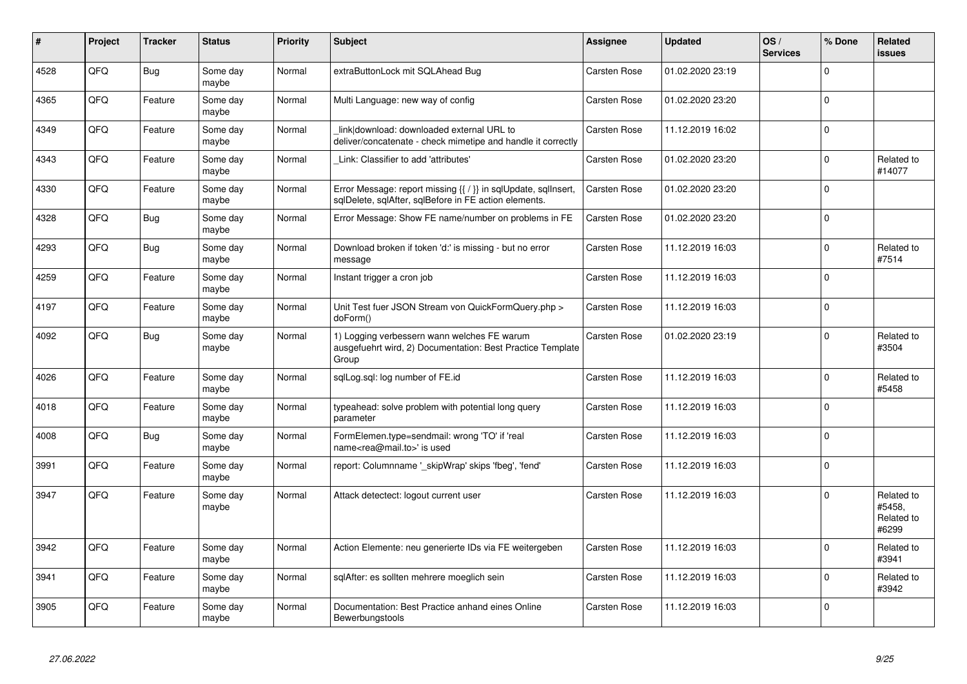| #    | Project | <b>Tracker</b> | <b>Status</b>     | <b>Priority</b> | <b>Subject</b>                                                                                                          | Assignee            | <b>Updated</b>   | OS/<br><b>Services</b> | % Done      | <b>Related</b><br><b>issues</b>             |
|------|---------|----------------|-------------------|-----------------|-------------------------------------------------------------------------------------------------------------------------|---------------------|------------------|------------------------|-------------|---------------------------------------------|
| 4528 | QFQ     | Bug            | Some day<br>maybe | Normal          | extraButtonLock mit SQLAhead Bug                                                                                        | Carsten Rose        | 01.02.2020 23:19 |                        | $\mathbf 0$ |                                             |
| 4365 | QFQ     | Feature        | Some day<br>maybe | Normal          | Multi Language: new way of config                                                                                       | Carsten Rose        | 01.02.2020 23:20 |                        | $\mathsf 0$ |                                             |
| 4349 | QFQ     | Feature        | Some day<br>maybe | Normal          | link download: downloaded external URL to<br>deliver/concatenate - check mimetipe and handle it correctly               | Carsten Rose        | 11.12.2019 16:02 |                        | $\mathbf 0$ |                                             |
| 4343 | QFQ     | Feature        | Some day<br>maybe | Normal          | Link: Classifier to add 'attributes'                                                                                    | <b>Carsten Rose</b> | 01.02.2020 23:20 |                        | $\Omega$    | Related to<br>#14077                        |
| 4330 | QFQ     | Feature        | Some day<br>maybe | Normal          | Error Message: report missing {{ / }} in sqlUpdate, sqlInsert,<br>sqlDelete, sqlAfter, sqlBefore in FE action elements. | <b>Carsten Rose</b> | 01.02.2020 23:20 |                        | $\mathbf 0$ |                                             |
| 4328 | QFQ     | Bug            | Some day<br>maybe | Normal          | Error Message: Show FE name/number on problems in FE                                                                    | <b>Carsten Rose</b> | 01.02.2020 23:20 |                        | $\mathsf 0$ |                                             |
| 4293 | QFQ     | <b>Bug</b>     | Some day<br>maybe | Normal          | Download broken if token 'd:' is missing - but no error<br>message                                                      | Carsten Rose        | 11.12.2019 16:03 |                        | $\Omega$    | Related to<br>#7514                         |
| 4259 | QFQ     | Feature        | Some day<br>maybe | Normal          | Instant trigger a cron job                                                                                              | Carsten Rose        | 11.12.2019 16:03 |                        | $\mathbf 0$ |                                             |
| 4197 | QFQ     | Feature        | Some day<br>maybe | Normal          | Unit Test fuer JSON Stream von QuickFormQuery.php ><br>doForm()                                                         | <b>Carsten Rose</b> | 11.12.2019 16:03 |                        | $\mathbf 0$ |                                             |
| 4092 | QFQ     | <b>Bug</b>     | Some day<br>maybe | Normal          | 1) Logging verbessern wann welches FE warum<br>ausgefuehrt wird, 2) Documentation: Best Practice Template<br>Group      | <b>Carsten Rose</b> | 01.02.2020 23:19 |                        | $\mathbf 0$ | Related to<br>#3504                         |
| 4026 | QFQ     | Feature        | Some day<br>maybe | Normal          | sqlLog.sql: log number of FE.id                                                                                         | Carsten Rose        | 11.12.2019 16:03 |                        | $\mathbf 0$ | Related to<br>#5458                         |
| 4018 | QFQ     | Feature        | Some day<br>maybe | Normal          | typeahead: solve problem with potential long query<br>parameter                                                         | <b>Carsten Rose</b> | 11.12.2019 16:03 |                        | $\Omega$    |                                             |
| 4008 | QFQ     | <b>Bug</b>     | Some day<br>maybe | Normal          | FormElemen.type=sendmail: wrong 'TO' if 'real<br>name <rea@mail.to>' is used</rea@mail.to>                              | Carsten Rose        | 11.12.2019 16:03 |                        | $\mathbf 0$ |                                             |
| 3991 | QFQ     | Feature        | Some day<br>maybe | Normal          | report: Columnname ' skipWrap' skips 'fbeg', 'fend'                                                                     | Carsten Rose        | 11.12.2019 16:03 |                        | $\mathbf 0$ |                                             |
| 3947 | QFQ     | Feature        | Some day<br>maybe | Normal          | Attack detectect: logout current user                                                                                   | Carsten Rose        | 11.12.2019 16:03 |                        | $\Omega$    | Related to<br>#5458.<br>Related to<br>#6299 |
| 3942 | QFQ     | Feature        | Some day<br>maybe | Normal          | Action Elemente: neu generierte IDs via FE weitergeben                                                                  | <b>Carsten Rose</b> | 11.12.2019 16:03 |                        | $\Omega$    | Related to<br>#3941                         |
| 3941 | QFQ     | Feature        | Some day<br>maybe | Normal          | sqlAfter: es sollten mehrere moeglich sein                                                                              | <b>Carsten Rose</b> | 11.12.2019 16:03 |                        | $\mathbf 0$ | Related to<br>#3942                         |
| 3905 | QFQ     | Feature        | Some day<br>maybe | Normal          | Documentation: Best Practice anhand eines Online<br>Bewerbungstools                                                     | Carsten Rose        | 11.12.2019 16:03 |                        | $\mathbf 0$ |                                             |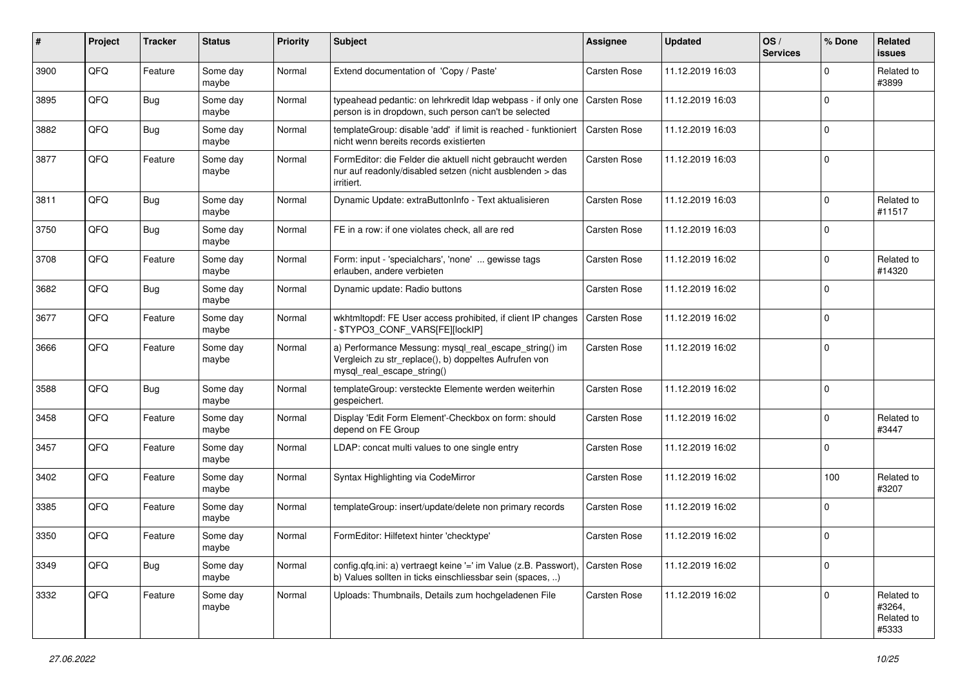| #    | Project | <b>Tracker</b> | <b>Status</b>     | <b>Priority</b> | Subject                                                                                                                                      | <b>Assignee</b>     | <b>Updated</b>   | OS/<br><b>Services</b> | % Done      | Related<br><b>issues</b>                    |
|------|---------|----------------|-------------------|-----------------|----------------------------------------------------------------------------------------------------------------------------------------------|---------------------|------------------|------------------------|-------------|---------------------------------------------|
| 3900 | QFQ     | Feature        | Some day<br>maybe | Normal          | Extend documentation of 'Copy / Paste'                                                                                                       | Carsten Rose        | 11.12.2019 16:03 |                        | $\Omega$    | Related to<br>#3899                         |
| 3895 | QFQ     | Bug            | Some day<br>maybe | Normal          | typeahead pedantic: on lehrkredit Idap webpass - if only one<br>person is in dropdown, such person can't be selected                         | Carsten Rose        | 11.12.2019 16:03 |                        | $\Omega$    |                                             |
| 3882 | QFQ     | Bug            | Some day<br>maybe | Normal          | templateGroup: disable 'add' if limit is reached - funktioniert<br>nicht wenn bereits records existierten                                    | <b>Carsten Rose</b> | 11.12.2019 16:03 |                        | $\Omega$    |                                             |
| 3877 | QFQ     | Feature        | Some day<br>maybe | Normal          | FormEditor: die Felder die aktuell nicht gebraucht werden<br>nur auf readonly/disabled setzen (nicht ausblenden > das<br>irritiert.          | Carsten Rose        | 11.12.2019 16:03 |                        | $\Omega$    |                                             |
| 3811 | QFQ     | Bug            | Some day<br>maybe | Normal          | Dynamic Update: extraButtonInfo - Text aktualisieren                                                                                         | Carsten Rose        | 11.12.2019 16:03 |                        | $\Omega$    | Related to<br>#11517                        |
| 3750 | QFQ     | Bug            | Some day<br>maybe | Normal          | FE in a row: if one violates check, all are red                                                                                              | Carsten Rose        | 11.12.2019 16:03 |                        | $\Omega$    |                                             |
| 3708 | QFQ     | Feature        | Some day<br>maybe | Normal          | Form: input - 'specialchars', 'none'  gewisse tags<br>erlauben, andere verbieten                                                             | Carsten Rose        | 11.12.2019 16:02 |                        | $\Omega$    | Related to<br>#14320                        |
| 3682 | QFQ     | Bug            | Some day<br>maybe | Normal          | Dynamic update: Radio buttons                                                                                                                | Carsten Rose        | 11.12.2019 16:02 |                        | $\Omega$    |                                             |
| 3677 | QFQ     | Feature        | Some day<br>maybe | Normal          | wkhtmltopdf: FE User access prohibited, if client IP changes<br>\$TYPO3_CONF_VARS[FE][lockIP]                                                | Carsten Rose        | 11.12.2019 16:02 |                        | $\Omega$    |                                             |
| 3666 | QFQ     | Feature        | Some day<br>maybe | Normal          | a) Performance Messung: mysql_real_escape_string() im<br>Vergleich zu str_replace(), b) doppeltes Aufrufen von<br>mysql real escape string() | Carsten Rose        | 11.12.2019 16:02 |                        | $\mathbf 0$ |                                             |
| 3588 | QFQ     | Bug            | Some day<br>maybe | Normal          | templateGroup: versteckte Elemente werden weiterhin<br>gespeichert.                                                                          | Carsten Rose        | 11.12.2019 16:02 |                        | $\mathbf 0$ |                                             |
| 3458 | QFQ     | Feature        | Some day<br>maybe | Normal          | Display 'Edit Form Element'-Checkbox on form: should<br>depend on FE Group                                                                   | Carsten Rose        | 11.12.2019 16:02 |                        | 0           | Related to<br>#3447                         |
| 3457 | QFQ     | Feature        | Some day<br>maybe | Normal          | LDAP: concat multi values to one single entry                                                                                                | Carsten Rose        | 11.12.2019 16:02 |                        | $\Omega$    |                                             |
| 3402 | QFQ     | Feature        | Some day<br>maybe | Normal          | Syntax Highlighting via CodeMirror                                                                                                           | Carsten Rose        | 11.12.2019 16:02 |                        | 100         | Related to<br>#3207                         |
| 3385 | QFQ     | Feature        | Some day<br>maybe | Normal          | templateGroup: insert/update/delete non primary records                                                                                      | Carsten Rose        | 11.12.2019 16:02 |                        | $\Omega$    |                                             |
| 3350 | QFQ     | Feature        | Some day<br>maybe | Normal          | FormEditor: Hilfetext hinter 'checktype'                                                                                                     | Carsten Rose        | 11.12.2019 16:02 |                        | $\Omega$    |                                             |
| 3349 | QFQ     | <b>Bug</b>     | Some day<br>maybe | Normal          | config.qfq.ini: a) vertraegt keine '=' im Value (z.B. Passwort),<br>b) Values sollten in ticks einschliessbar sein (spaces, )                | Carsten Rose        | 11.12.2019 16:02 |                        | $\mathbf 0$ |                                             |
| 3332 | QFQ     | Feature        | Some day<br>maybe | Normal          | Uploads: Thumbnails, Details zum hochgeladenen File                                                                                          | Carsten Rose        | 11.12.2019 16:02 |                        | $\mathbf 0$ | Related to<br>#3264,<br>Related to<br>#5333 |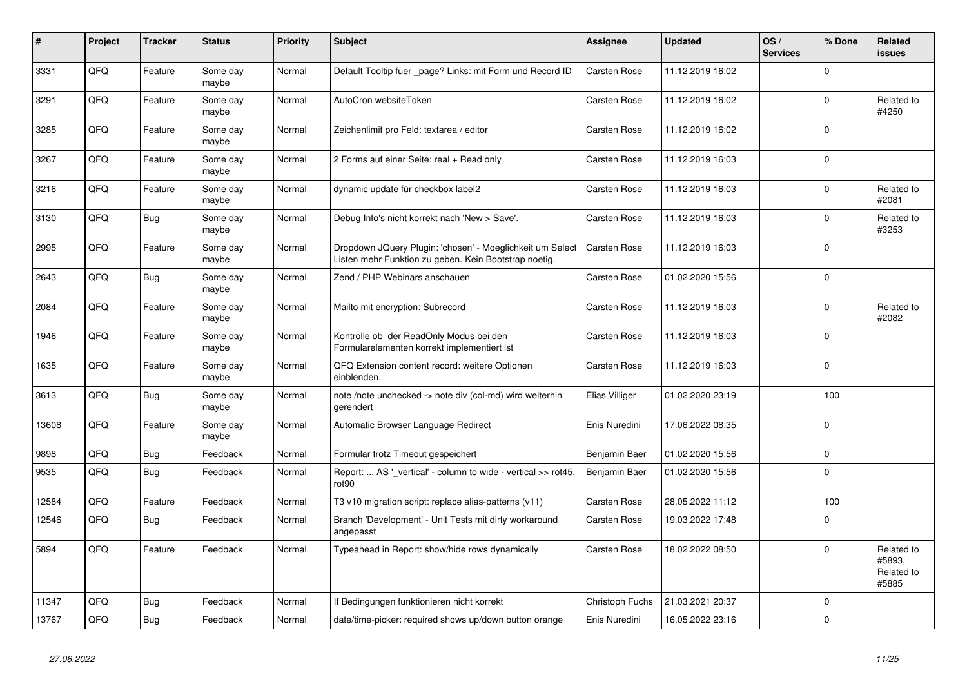| $\vert$ # | Project | <b>Tracker</b> | <b>Status</b>     | <b>Priority</b> | <b>Subject</b>                                                                                                     | Assignee            | <b>Updated</b>   | OS/<br><b>Services</b> | % Done      | Related<br><b>issues</b>                    |
|-----------|---------|----------------|-------------------|-----------------|--------------------------------------------------------------------------------------------------------------------|---------------------|------------------|------------------------|-------------|---------------------------------------------|
| 3331      | QFQ     | Feature        | Some day<br>maybe | Normal          | Default Tooltip fuer page? Links: mit Form und Record ID                                                           | Carsten Rose        | 11.12.2019 16:02 |                        | $\Omega$    |                                             |
| 3291      | QFQ     | Feature        | Some day<br>maybe | Normal          | AutoCron websiteToken                                                                                              | Carsten Rose        | 11.12.2019 16:02 |                        | $\Omega$    | Related to<br>#4250                         |
| 3285      | QFQ     | Feature        | Some day<br>maybe | Normal          | Zeichenlimit pro Feld: textarea / editor                                                                           | <b>Carsten Rose</b> | 11.12.2019 16:02 |                        | $\Omega$    |                                             |
| 3267      | QFQ     | Feature        | Some day<br>maybe | Normal          | 2 Forms auf einer Seite: real + Read only                                                                          | Carsten Rose        | 11.12.2019 16:03 |                        | $\Omega$    |                                             |
| 3216      | QFQ     | Feature        | Some day<br>maybe | Normal          | dynamic update für checkbox label2                                                                                 | <b>Carsten Rose</b> | 11.12.2019 16:03 |                        | $\Omega$    | Related to<br>#2081                         |
| 3130      | QFQ     | Bug            | Some day<br>maybe | Normal          | Debug Info's nicht korrekt nach 'New > Save'.                                                                      | <b>Carsten Rose</b> | 11.12.2019 16:03 |                        | $\Omega$    | Related to<br>#3253                         |
| 2995      | QFQ     | Feature        | Some day<br>maybe | Normal          | Dropdown JQuery Plugin: 'chosen' - Moeglichkeit um Select<br>Listen mehr Funktion zu geben. Kein Bootstrap noetig. | Carsten Rose        | 11.12.2019 16:03 |                        | $\Omega$    |                                             |
| 2643      | QFQ     | <b>Bug</b>     | Some day<br>maybe | Normal          | Zend / PHP Webinars anschauen                                                                                      | Carsten Rose        | 01.02.2020 15:56 |                        | $\Omega$    |                                             |
| 2084      | QFQ     | Feature        | Some day<br>maybe | Normal          | Mailto mit encryption: Subrecord                                                                                   | <b>Carsten Rose</b> | 11.12.2019 16:03 |                        | $\mathbf 0$ | Related to<br>#2082                         |
| 1946      | QFQ     | Feature        | Some day<br>maybe | Normal          | Kontrolle ob der ReadOnly Modus bei den<br>Formularelementen korrekt implementiert ist                             | <b>Carsten Rose</b> | 11.12.2019 16:03 |                        | $\Omega$    |                                             |
| 1635      | QFQ     | Feature        | Some day<br>maybe | Normal          | QFQ Extension content record: weitere Optionen<br>einblenden.                                                      | Carsten Rose        | 11.12.2019 16:03 |                        | $\Omega$    |                                             |
| 3613      | QFQ     | <b>Bug</b>     | Some day<br>maybe | Normal          | note /note unchecked -> note div (col-md) wird weiterhin<br>aerendert                                              | Elias Villiger      | 01.02.2020 23:19 |                        | 100         |                                             |
| 13608     | QFQ     | Feature        | Some day<br>maybe | Normal          | Automatic Browser Language Redirect                                                                                | Enis Nuredini       | 17.06.2022 08:35 |                        | $\Omega$    |                                             |
| 9898      | QFQ     | <b>Bug</b>     | Feedback          | Normal          | Formular trotz Timeout gespeichert                                                                                 | Benjamin Baer       | 01.02.2020 15:56 |                        | $\Omega$    |                                             |
| 9535      | QFQ     | Bug            | Feedback          | Normal          | Report:  AS '_vertical' - column to wide - vertical >> rot45,<br>rot <sub>90</sub>                                 | Benjamin Baer       | 01.02.2020 15:56 |                        | $\Omega$    |                                             |
| 12584     | QFQ     | Feature        | Feedback          | Normal          | T3 v10 migration script: replace alias-patterns (v11)                                                              | <b>Carsten Rose</b> | 28.05.2022 11:12 |                        | 100         |                                             |
| 12546     | QFQ     | Bug            | Feedback          | Normal          | Branch 'Development' - Unit Tests mit dirty workaround<br>angepasst                                                | Carsten Rose        | 19.03.2022 17:48 |                        | $\Omega$    |                                             |
| 5894      | QFQ     | Feature        | Feedback          | Normal          | Typeahead in Report: show/hide rows dynamically                                                                    | Carsten Rose        | 18.02.2022 08:50 |                        | $\Omega$    | Related to<br>#5893,<br>Related to<br>#5885 |
| 11347     | QFQ     | Bug            | Feedback          | Normal          | If Bedingungen funktionieren nicht korrekt                                                                         | Christoph Fuchs     | 21.03.2021 20:37 |                        | $\Omega$    |                                             |
| 13767     | QFQ     | Bug            | Feedback          | Normal          | date/time-picker: required shows up/down button orange                                                             | Enis Nuredini       | 16.05.2022 23:16 |                        | $\Omega$    |                                             |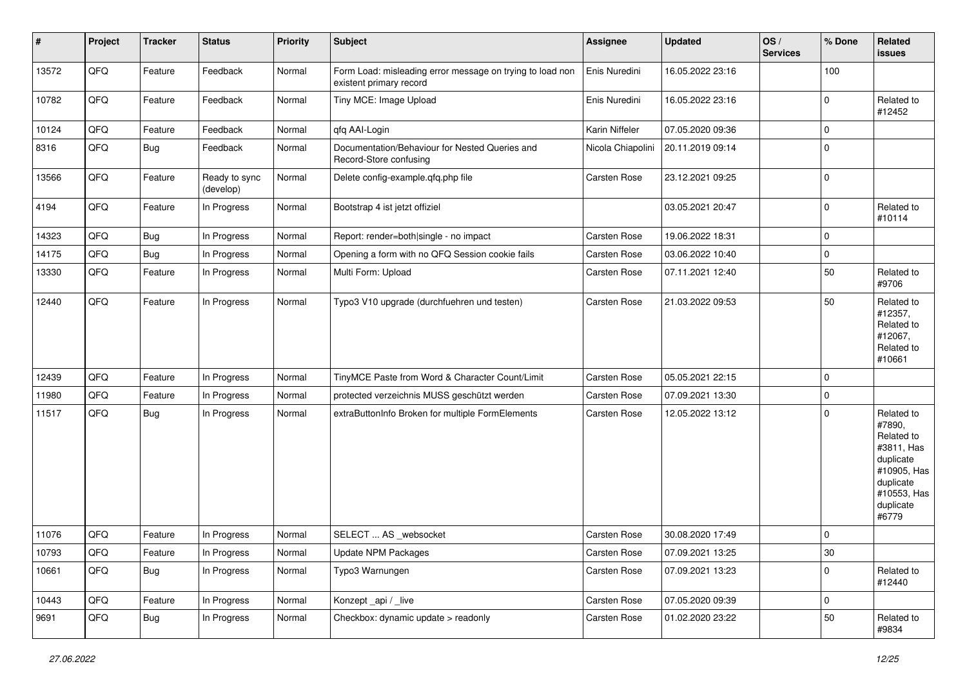| $\sharp$ | Project | <b>Tracker</b> | <b>Status</b>              | <b>Priority</b> | <b>Subject</b>                                                                       | Assignee          | <b>Updated</b>   | OS/<br><b>Services</b> | % Done      | Related<br>issues                                                                                                              |
|----------|---------|----------------|----------------------------|-----------------|--------------------------------------------------------------------------------------|-------------------|------------------|------------------------|-------------|--------------------------------------------------------------------------------------------------------------------------------|
| 13572    | QFQ     | Feature        | Feedback                   | Normal          | Form Load: misleading error message on trying to load non<br>existent primary record | Enis Nuredini     | 16.05.2022 23:16 |                        | 100         |                                                                                                                                |
| 10782    | QFQ     | Feature        | Feedback                   | Normal          | Tiny MCE: Image Upload                                                               | Enis Nuredini     | 16.05.2022 23:16 |                        | $\Omega$    | Related to<br>#12452                                                                                                           |
| 10124    | QFQ     | Feature        | Feedback                   | Normal          | qfq AAI-Login                                                                        | Karin Niffeler    | 07.05.2020 09:36 |                        | $\Omega$    |                                                                                                                                |
| 8316     | QFQ     | Bug            | Feedback                   | Normal          | Documentation/Behaviour for Nested Queries and<br>Record-Store confusing             | Nicola Chiapolini | 20.11.2019 09:14 |                        | $\Omega$    |                                                                                                                                |
| 13566    | QFG     | Feature        | Ready to sync<br>(develop) | Normal          | Delete config-example.qfq.php file                                                   | Carsten Rose      | 23.12.2021 09:25 |                        | $\Omega$    |                                                                                                                                |
| 4194     | QFQ     | Feature        | In Progress                | Normal          | Bootstrap 4 ist jetzt offiziel                                                       |                   | 03.05.2021 20:47 |                        | $\mathbf 0$ | Related to<br>#10114                                                                                                           |
| 14323    | QFQ     | <b>Bug</b>     | In Progress                | Normal          | Report: render=both single - no impact                                               | Carsten Rose      | 19.06.2022 18:31 |                        | $\mathbf 0$ |                                                                                                                                |
| 14175    | QFQ     | <b>Bug</b>     | In Progress                | Normal          | Opening a form with no QFQ Session cookie fails                                      | Carsten Rose      | 03.06.2022 10:40 |                        | $\mathbf 0$ |                                                                                                                                |
| 13330    | QFQ     | Feature        | In Progress                | Normal          | Multi Form: Upload                                                                   | Carsten Rose      | 07.11.2021 12:40 |                        | 50          | Related to<br>#9706                                                                                                            |
| 12440    | QFQ     | Feature        | In Progress                | Normal          | Typo3 V10 upgrade (durchfuehren und testen)                                          | Carsten Rose      | 21.03.2022 09:53 |                        | 50          | Related to<br>#12357,<br>Related to<br>#12067,<br>Related to<br>#10661                                                         |
| 12439    | QFQ     | Feature        | In Progress                | Normal          | TinyMCE Paste from Word & Character Count/Limit                                      | Carsten Rose      | 05.05.2021 22:15 |                        | $\mathbf 0$ |                                                                                                                                |
| 11980    | QFQ     | Feature        | In Progress                | Normal          | protected verzeichnis MUSS geschützt werden                                          | Carsten Rose      | 07.09.2021 13:30 |                        | $\Omega$    |                                                                                                                                |
| 11517    | QFQ     | Bug            | In Progress                | Normal          | extraButtonInfo Broken for multiple FormElements                                     | Carsten Rose      | 12.05.2022 13:12 |                        | $\Omega$    | Related to<br>#7890,<br>Related to<br>#3811, Has<br>duplicate<br>#10905, Has<br>duplicate<br>#10553, Has<br>duplicate<br>#6779 |
| 11076    | QFQ     | Feature        | In Progress                | Normal          | SELECT  AS _websocket                                                                | Carsten Rose      | 30.08.2020 17:49 |                        | $\mathbf 0$ |                                                                                                                                |
| 10793    | QFQ     | Feature        | In Progress                | Normal          | Update NPM Packages                                                                  | Carsten Rose      | 07.09.2021 13:25 |                        | 30          |                                                                                                                                |
| 10661    | QFQ     | Bug            | In Progress                | Normal          | Typo3 Warnungen                                                                      | Carsten Rose      | 07.09.2021 13:23 |                        | $\mathbf 0$ | Related to<br>#12440                                                                                                           |
| 10443    | QFQ     | Feature        | In Progress                | Normal          | Konzept_api / _live                                                                  | Carsten Rose      | 07.05.2020 09:39 |                        | $\mathbf 0$ |                                                                                                                                |
| 9691     | QFQ     | Bug            | In Progress                | Normal          | Checkbox: dynamic update > readonly                                                  | Carsten Rose      | 01.02.2020 23:22 |                        | 50          | Related to<br>#9834                                                                                                            |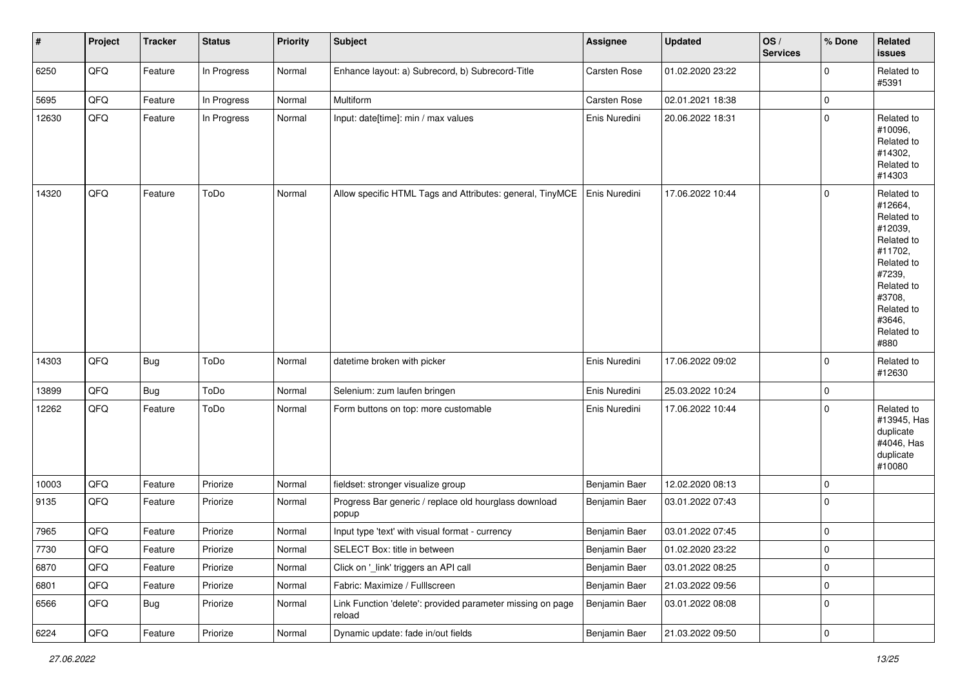| #     | Project | <b>Tracker</b> | <b>Status</b> | <b>Priority</b> | <b>Subject</b>                                                       | Assignee      | <b>Updated</b>   | OS/<br><b>Services</b> | % Done              | Related<br>issues                                                                                                                                                     |
|-------|---------|----------------|---------------|-----------------|----------------------------------------------------------------------|---------------|------------------|------------------------|---------------------|-----------------------------------------------------------------------------------------------------------------------------------------------------------------------|
| 6250  | QFG     | Feature        | In Progress   | Normal          | Enhance layout: a) Subrecord, b) Subrecord-Title                     | Carsten Rose  | 01.02.2020 23:22 |                        | $\mathbf 0$         | Related to<br>#5391                                                                                                                                                   |
| 5695  | QFQ     | Feature        | In Progress   | Normal          | Multiform                                                            | Carsten Rose  | 02.01.2021 18:38 |                        | $\mathbf 0$         |                                                                                                                                                                       |
| 12630 | QFQ     | Feature        | In Progress   | Normal          | Input: date[time]: min / max values                                  | Enis Nuredini | 20.06.2022 18:31 |                        | $\mathbf 0$         | Related to<br>#10096,<br>Related to<br>#14302,<br>Related to<br>#14303                                                                                                |
| 14320 | QFQ     | Feature        | ToDo          | Normal          | Allow specific HTML Tags and Attributes: general, TinyMCE            | Enis Nuredini | 17.06.2022 10:44 |                        | $\mathbf 0$         | Related to<br>#12664,<br>Related to<br>#12039,<br>Related to<br>#11702,<br>Related to<br>#7239,<br>Related to<br>#3708,<br>Related to<br>#3646,<br>Related to<br>#880 |
| 14303 | QFQ     | Bug            | ToDo          | Normal          | datetime broken with picker                                          | Enis Nuredini | 17.06.2022 09:02 |                        | 0                   | Related to<br>#12630                                                                                                                                                  |
| 13899 | QFQ     | Bug            | ToDo          | Normal          | Selenium: zum laufen bringen                                         | Enis Nuredini | 25.03.2022 10:24 |                        | $\pmb{0}$           |                                                                                                                                                                       |
| 12262 | QFQ     | Feature        | ToDo          | Normal          | Form buttons on top: more customable                                 | Enis Nuredini | 17.06.2022 10:44 |                        | $\mathbf 0$         | Related to<br>#13945, Has<br>duplicate<br>#4046, Has<br>duplicate<br>#10080                                                                                           |
| 10003 | QFQ     | Feature        | Priorize      | Normal          | fieldset: stronger visualize group                                   | Benjamin Baer | 12.02.2020 08:13 |                        | $\mathbf 0$         |                                                                                                                                                                       |
| 9135  | QFQ     | Feature        | Priorize      | Normal          | Progress Bar generic / replace old hourglass download<br>popup       | Benjamin Baer | 03.01.2022 07:43 |                        | $\mathbf 0$         |                                                                                                                                                                       |
| 7965  | QFQ     | Feature        | Priorize      | Normal          | Input type 'text' with visual format - currency                      | Benjamin Baer | 03.01.2022 07:45 |                        | $\pmb{0}$           |                                                                                                                                                                       |
| 7730  | QFG     | Feature        | Priorize      | Normal          | SELECT Box: title in between                                         | Benjamin Baer | 01.02.2020 23:22 |                        | $\pmb{0}$           |                                                                                                                                                                       |
| 6870  | QFQ     | Feature        | Priorize      | Normal          | Click on ' link' triggers an API call                                | Benjamin Baer | 03.01.2022 08:25 |                        | $\mathsf{O}\xspace$ |                                                                                                                                                                       |
| 6801  | QFQ     | Feature        | Priorize      | Normal          | Fabric: Maximize / Fulllscreen                                       | Benjamin Baer | 21.03.2022 09:56 |                        | $\mathsf 0$         |                                                                                                                                                                       |
| 6566  | QFQ     | Bug            | Priorize      | Normal          | Link Function 'delete': provided parameter missing on page<br>reload | Benjamin Baer | 03.01.2022 08:08 |                        | $\pmb{0}$           |                                                                                                                                                                       |
| 6224  | QFQ     | Feature        | Priorize      | Normal          | Dynamic update: fade in/out fields                                   | Benjamin Baer | 21.03.2022 09:50 |                        | $\pmb{0}$           |                                                                                                                                                                       |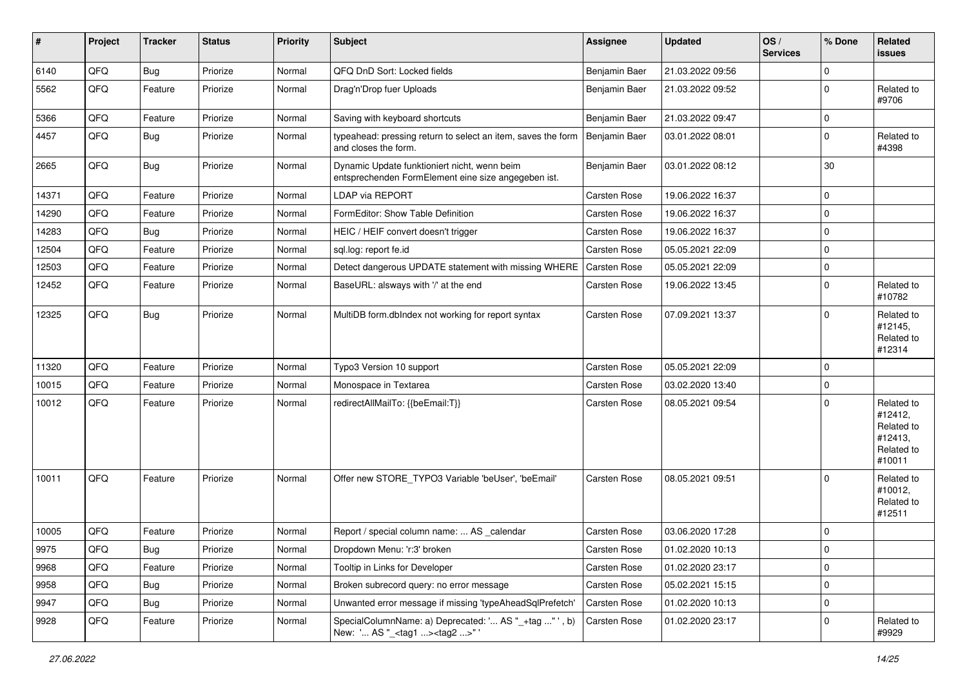| #     | Project | <b>Tracker</b> | <b>Status</b> | <b>Priority</b> | Subject                                                                                             | Assignee      | <b>Updated</b>   | OS/<br><b>Services</b> | % Done      | Related<br>issues                                                      |
|-------|---------|----------------|---------------|-----------------|-----------------------------------------------------------------------------------------------------|---------------|------------------|------------------------|-------------|------------------------------------------------------------------------|
| 6140  | QFQ     | Bug            | Priorize      | Normal          | QFQ DnD Sort: Locked fields                                                                         | Benjamin Baer | 21.03.2022 09:56 |                        | $\Omega$    |                                                                        |
| 5562  | QFQ     | Feature        | Priorize      | Normal          | Drag'n'Drop fuer Uploads                                                                            | Benjamin Baer | 21.03.2022 09:52 |                        | $\Omega$    | Related to<br>#9706                                                    |
| 5366  | QFQ     | Feature        | Priorize      | Normal          | Saving with keyboard shortcuts                                                                      | Benjamin Baer | 21.03.2022 09:47 |                        | $\mathbf 0$ |                                                                        |
| 4457  | QFQ     | Bug            | Priorize      | Normal          | typeahead: pressing return to select an item, saves the form<br>and closes the form.                | Benjamin Baer | 03.01.2022 08:01 |                        | $\Omega$    | Related to<br>#4398                                                    |
| 2665  | QFQ     | Bug            | Priorize      | Normal          | Dynamic Update funktioniert nicht, wenn beim<br>entsprechenden FormElement eine size angegeben ist. | Benjamin Baer | 03.01.2022 08:12 |                        | 30          |                                                                        |
| 14371 | QFQ     | Feature        | Priorize      | Normal          | LDAP via REPORT                                                                                     | Carsten Rose  | 19.06.2022 16:37 |                        | $\Omega$    |                                                                        |
| 14290 | QFQ     | Feature        | Priorize      | Normal          | FormEditor: Show Table Definition                                                                   | Carsten Rose  | 19.06.2022 16:37 |                        | $\Omega$    |                                                                        |
| 14283 | QFQ     | Bug            | Priorize      | Normal          | HEIC / HEIF convert doesn't trigger                                                                 | Carsten Rose  | 19.06.2022 16:37 |                        | $\Omega$    |                                                                        |
| 12504 | QFQ     | Feature        | Priorize      | Normal          | sql.log: report fe.id                                                                               | Carsten Rose  | 05.05.2021 22:09 |                        | $\Omega$    |                                                                        |
| 12503 | QFQ     | Feature        | Priorize      | Normal          | Detect dangerous UPDATE statement with missing WHERE                                                | Carsten Rose  | 05.05.2021 22:09 |                        | $\mathbf 0$ |                                                                        |
| 12452 | QFQ     | Feature        | Priorize      | Normal          | BaseURL: alsways with '/' at the end                                                                | Carsten Rose  | 19.06.2022 13:45 |                        | $\Omega$    | Related to<br>#10782                                                   |
| 12325 | QFQ     | Bug            | Priorize      | Normal          | MultiDB form.dblndex not working for report syntax                                                  | Carsten Rose  | 07.09.2021 13:37 |                        | $\Omega$    | Related to<br>#12145,<br>Related to<br>#12314                          |
| 11320 | QFQ     | Feature        | Priorize      | Normal          | Typo3 Version 10 support                                                                            | Carsten Rose  | 05.05.2021 22:09 |                        | $\Omega$    |                                                                        |
| 10015 | QFQ     | Feature        | Priorize      | Normal          | Monospace in Textarea                                                                               | Carsten Rose  | 03.02.2020 13:40 |                        | $\Omega$    |                                                                        |
| 10012 | QFQ     | Feature        | Priorize      | Normal          | redirectAllMailTo: {{beEmail:T}}                                                                    | Carsten Rose  | 08.05.2021 09:54 |                        | $\Omega$    | Related to<br>#12412,<br>Related to<br>#12413,<br>Related to<br>#10011 |
| 10011 | QFQ     | Feature        | Priorize      | Normal          | Offer new STORE_TYPO3 Variable 'beUser', 'beEmail'                                                  | Carsten Rose  | 08.05.2021 09:51 |                        | $\Omega$    | Related to<br>#10012,<br>Related to<br>#12511                          |
| 10005 | QFQ     | Feature        | Priorize      | Normal          | Report / special column name:  AS _calendar                                                         | Carsten Rose  | 03.06.2020 17:28 |                        | $\Omega$    |                                                                        |
| 9975  | QFQ     | Bug            | Priorize      | Normal          | Dropdown Menu: 'r:3' broken                                                                         | Carsten Rose  | 01.02.2020 10:13 |                        | O           |                                                                        |
| 9968  | QFQ     | Feature        | Priorize      | Normal          | Tooltip in Links for Developer                                                                      | Carsten Rose  | 01.02.2020 23:17 |                        | $\mathbf 0$ |                                                                        |
| 9958  | QFQ     | <b>Bug</b>     | Priorize      | Normal          | Broken subrecord query: no error message                                                            | Carsten Rose  | 05.02.2021 15:15 |                        | 0           |                                                                        |
| 9947  | QFQ     | <b>Bug</b>     | Priorize      | Normal          | Unwanted error message if missing 'typeAheadSqlPrefetch'                                            | Carsten Rose  | 01.02.2020 10:13 |                        | 0           |                                                                        |
| 9928  | QFQ     | Feature        | Priorize      | Normal          | SpecialColumnName: a) Deprecated: ' AS "_+tag " ', b)<br>New: ' AS "_ <tag1><tag2>" '</tag2></tag1> | Carsten Rose  | 01.02.2020 23:17 |                        | 0           | Related to<br>#9929                                                    |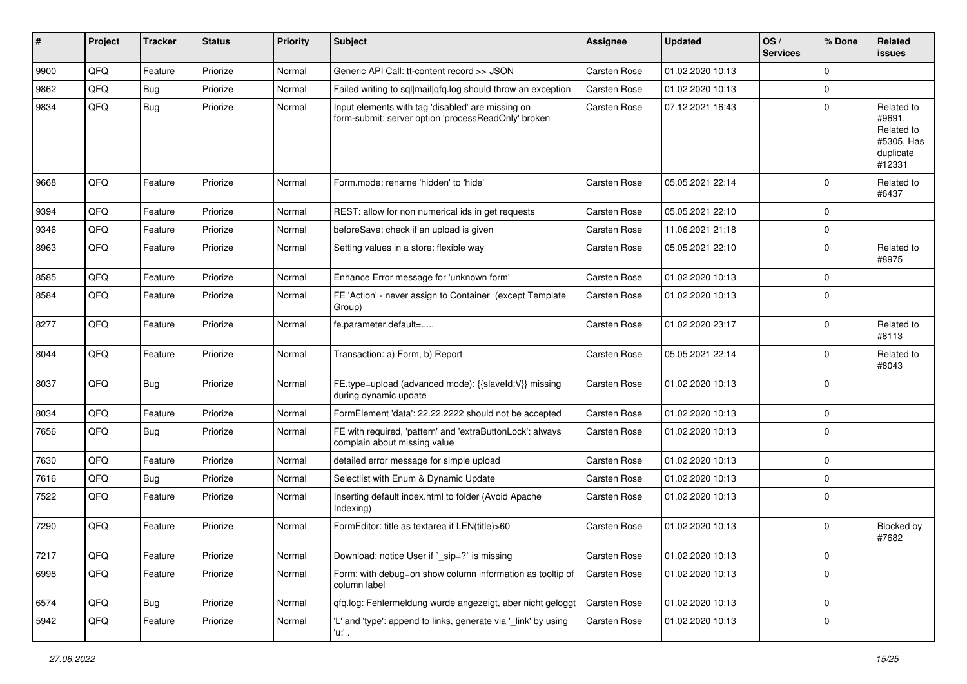| ∦    | Project | Tracker | <b>Status</b> | <b>Priority</b> | Subject                                                                                                  | Assignee            | <b>Updated</b>   | OS/<br><b>Services</b> | % Done      | <b>Related</b><br>issues                                                |
|------|---------|---------|---------------|-----------------|----------------------------------------------------------------------------------------------------------|---------------------|------------------|------------------------|-------------|-------------------------------------------------------------------------|
| 9900 | QFQ     | Feature | Priorize      | Normal          | Generic API Call: tt-content record >> JSON                                                              | Carsten Rose        | 01.02.2020 10:13 |                        | $\Omega$    |                                                                         |
| 9862 | QFQ     | Bug     | Priorize      | Normal          | Failed writing to sql mail qfq.log should throw an exception                                             | <b>Carsten Rose</b> | 01.02.2020 10:13 |                        | 0           |                                                                         |
| 9834 | QFQ     | Bug     | Priorize      | Normal          | Input elements with tag 'disabled' are missing on<br>form-submit: server option 'processReadOnly' broken | Carsten Rose        | 07.12.2021 16:43 |                        | $\Omega$    | Related to<br>#9691,<br>Related to<br>#5305, Has<br>duplicate<br>#12331 |
| 9668 | QFQ     | Feature | Priorize      | Normal          | Form.mode: rename 'hidden' to 'hide'                                                                     | <b>Carsten Rose</b> | 05.05.2021 22:14 |                        | $\Omega$    | Related to<br>#6437                                                     |
| 9394 | QFQ     | Feature | Priorize      | Normal          | REST: allow for non numerical ids in get requests                                                        | Carsten Rose        | 05.05.2021 22:10 |                        | 0           |                                                                         |
| 9346 | QFQ     | Feature | Priorize      | Normal          | beforeSave: check if an upload is given                                                                  | Carsten Rose        | 11.06.2021 21:18 |                        | 0           |                                                                         |
| 8963 | QFQ     | Feature | Priorize      | Normal          | Setting values in a store: flexible way                                                                  | Carsten Rose        | 05.05.2021 22:10 |                        | $\Omega$    | Related to<br>#8975                                                     |
| 8585 | QFQ     | Feature | Priorize      | Normal          | Enhance Error message for 'unknown form'                                                                 | <b>Carsten Rose</b> | 01.02.2020 10:13 |                        | $\Omega$    |                                                                         |
| 8584 | QFQ     | Feature | Priorize      | Normal          | FE 'Action' - never assign to Container (except Template)<br>Group)                                      | Carsten Rose        | 01.02.2020 10:13 |                        | $\Omega$    |                                                                         |
| 8277 | QFQ     | Feature | Priorize      | Normal          | fe.parameter.default=                                                                                    | Carsten Rose        | 01.02.2020 23:17 |                        | $\mathbf 0$ | Related to<br>#8113                                                     |
| 8044 | QFQ     | Feature | Priorize      | Normal          | Transaction: a) Form, b) Report                                                                          | <b>Carsten Rose</b> | 05.05.2021 22:14 |                        | $\Omega$    | Related to<br>#8043                                                     |
| 8037 | QFQ     | Bug     | Priorize      | Normal          | FE.type=upload (advanced mode): {{slaveId:V}} missing<br>during dynamic update                           | <b>Carsten Rose</b> | 01.02.2020 10:13 |                        | $\Omega$    |                                                                         |
| 8034 | QFQ     | Feature | Priorize      | Normal          | FormElement 'data': 22.22.2222 should not be accepted                                                    | Carsten Rose        | 01.02.2020 10:13 |                        | $\Omega$    |                                                                         |
| 7656 | QFQ     | Bug     | Priorize      | Normal          | FE with required, 'pattern' and 'extraButtonLock': always<br>complain about missing value                | Carsten Rose        | 01.02.2020 10:13 |                        | $\mathbf 0$ |                                                                         |
| 7630 | QFQ     | Feature | Priorize      | Normal          | detailed error message for simple upload                                                                 | Carsten Rose        | 01.02.2020 10:13 |                        | 0           |                                                                         |
| 7616 | QFQ     | Bug     | Priorize      | Normal          | Selectlist with Enum & Dynamic Update                                                                    | Carsten Rose        | 01.02.2020 10:13 |                        | $\Omega$    |                                                                         |
| 7522 | QFQ     | Feature | Priorize      | Normal          | Inserting default index.html to folder (Avoid Apache<br>Indexing)                                        | Carsten Rose        | 01.02.2020 10:13 |                        | $\Omega$    |                                                                         |
| 7290 | QFQ     | Feature | Priorize      | Normal          | FormEditor: title as textarea if LEN(title)>60                                                           | Carsten Rose        | 01.02.2020 10:13 |                        | 0           | <b>Blocked by</b><br>#7682                                              |
| 7217 | QFG     | Feature | Priorize      | Normal          | Download: notice User if `_sip=?` is missing                                                             | Carsten Rose        | 01.02.2020 10:13 |                        | 0           |                                                                         |
| 6998 | QFQ     | Feature | Priorize      | Normal          | Form: with debug=on show column information as tooltip of<br>column label                                | Carsten Rose        | 01.02.2020 10:13 |                        | $\Omega$    |                                                                         |
| 6574 | QFQ     | Bug     | Priorize      | Normal          | qfq.log: Fehlermeldung wurde angezeigt, aber nicht geloggt                                               | Carsten Rose        | 01.02.2020 10:13 |                        | $\mathbf 0$ |                                                                         |
| 5942 | QFQ     | Feature | Priorize      | Normal          | 'L' and 'type': append to links, generate via '_link' by using<br>'u.' .                                 | Carsten Rose        | 01.02.2020 10:13 |                        | $\mathbf 0$ |                                                                         |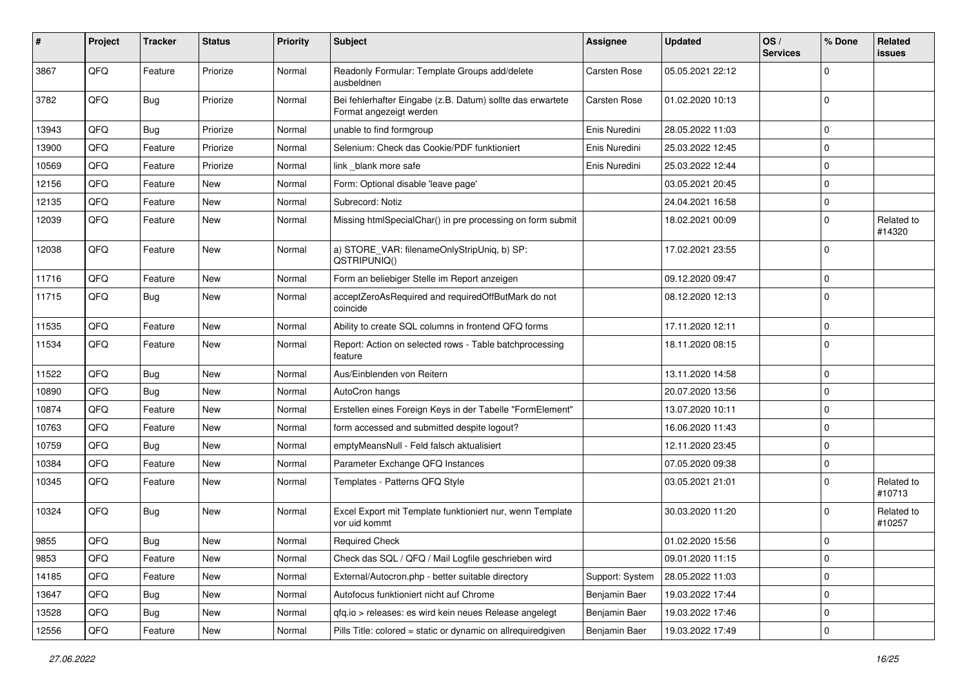| ∦     | Project | <b>Tracker</b> | <b>Status</b> | <b>Priority</b> | <b>Subject</b>                                                                        | Assignee            | <b>Updated</b>   | OS/<br><b>Services</b> | % Done      | Related<br>issues    |
|-------|---------|----------------|---------------|-----------------|---------------------------------------------------------------------------------------|---------------------|------------------|------------------------|-------------|----------------------|
| 3867  | QFQ     | Feature        | Priorize      | Normal          | Readonly Formular: Template Groups add/delete<br>ausbeldnen                           | Carsten Rose        | 05.05.2021 22:12 |                        | $\Omega$    |                      |
| 3782  | QFQ     | Bug            | Priorize      | Normal          | Bei fehlerhafter Eingabe (z.B. Datum) sollte das erwartete<br>Format angezeigt werden | <b>Carsten Rose</b> | 01.02.2020 10:13 |                        | $\mathbf 0$ |                      |
| 13943 | QFQ     | Bug            | Priorize      | Normal          | unable to find formgroup                                                              | Enis Nuredini       | 28.05.2022 11:03 |                        | 0           |                      |
| 13900 | QFQ     | Feature        | Priorize      | Normal          | Selenium: Check das Cookie/PDF funktioniert                                           | Enis Nuredini       | 25.03.2022 12:45 |                        | $\mathbf 0$ |                      |
| 10569 | QFQ     | Feature        | Priorize      | Normal          | link _blank more safe                                                                 | Enis Nuredini       | 25.03.2022 12:44 |                        | 0           |                      |
| 12156 | QFQ     | Feature        | New           | Normal          | Form: Optional disable 'leave page'                                                   |                     | 03.05.2021 20:45 |                        | 0           |                      |
| 12135 | QFQ     | Feature        | <b>New</b>    | Normal          | Subrecord: Notiz                                                                      |                     | 24.04.2021 16:58 |                        | $\Omega$    |                      |
| 12039 | QFQ     | Feature        | New           | Normal          | Missing htmlSpecialChar() in pre processing on form submit                            |                     | 18.02.2021 00:09 |                        | $\Omega$    | Related to<br>#14320 |
| 12038 | QFQ     | Feature        | <b>New</b>    | Normal          | a) STORE_VAR: filenameOnlyStripUniq, b) SP:<br>QSTRIPUNIQ()                           |                     | 17.02.2021 23:55 |                        | 0           |                      |
| 11716 | QFQ     | Feature        | <b>New</b>    | Normal          | Form an beliebiger Stelle im Report anzeigen                                          |                     | 09.12.2020 09:47 |                        | $\mathbf 0$ |                      |
| 11715 | QFQ     | Bug            | New           | Normal          | acceptZeroAsRequired and requiredOffButMark do not<br>coincide                        |                     | 08.12.2020 12:13 |                        | $\Omega$    |                      |
| 11535 | QFQ     | Feature        | <b>New</b>    | Normal          | Ability to create SQL columns in frontend QFQ forms                                   |                     | 17.11.2020 12:11 |                        | $\mathbf 0$ |                      |
| 11534 | QFQ     | Feature        | New           | Normal          | Report: Action on selected rows - Table batchprocessing<br>feature                    |                     | 18.11.2020 08:15 |                        | 0           |                      |
| 11522 | QFQ     | Bug            | New           | Normal          | Aus/Einblenden von Reitern                                                            |                     | 13.11.2020 14:58 |                        | $\mathbf 0$ |                      |
| 10890 | QFQ     | Bug            | <b>New</b>    | Normal          | AutoCron hangs                                                                        |                     | 20.07.2020 13:56 |                        | 0           |                      |
| 10874 | QFQ     | Feature        | <b>New</b>    | Normal          | Erstellen eines Foreign Keys in der Tabelle "FormElement"                             |                     | 13.07.2020 10:11 |                        | $\mathbf 0$ |                      |
| 10763 | QFQ     | Feature        | <b>New</b>    | Normal          | form accessed and submitted despite logout?                                           |                     | 16.06.2020 11:43 |                        | $\mathbf 0$ |                      |
| 10759 | QFQ     | Bug            | New           | Normal          | emptyMeansNull - Feld falsch aktualisiert                                             |                     | 12.11.2020 23:45 |                        | $\Omega$    |                      |
| 10384 | QFQ     | Feature        | <b>New</b>    | Normal          | Parameter Exchange QFQ Instances                                                      |                     | 07.05.2020 09:38 |                        | $\mathbf 0$ |                      |
| 10345 | QFQ     | Feature        | New           | Normal          | Templates - Patterns QFQ Style                                                        |                     | 03.05.2021 21:01 |                        | $\Omega$    | Related to<br>#10713 |
| 10324 | QFQ     | Bug            | New           | Normal          | Excel Export mit Template funktioniert nur, wenn Template<br>vor uid kommt            |                     | 30.03.2020 11:20 |                        | 0           | Related to<br>#10257 |
| 9855  | QFQ     | Bug            | New           | Normal          | <b>Required Check</b>                                                                 |                     | 01.02.2020 15:56 |                        | 0           |                      |
| 9853  | QFQ     | Feature        | New           | Normal          | Check das SQL / QFQ / Mail Logfile geschrieben wird                                   |                     | 09.01.2020 11:15 |                        | $\mathbf 0$ |                      |
| 14185 | QFQ     | Feature        | New           | Normal          | External/Autocron.php - better suitable directory                                     | Support: System     | 28.05.2022 11:03 |                        | 0           |                      |
| 13647 | QFQ     | <b>Bug</b>     | New           | Normal          | Autofocus funktioniert nicht auf Chrome                                               | Benjamin Baer       | 19.03.2022 17:44 |                        | 0           |                      |
| 13528 | QFQ     | Bug            | New           | Normal          | qfq.io > releases: es wird kein neues Release angelegt                                | Benjamin Baer       | 19.03.2022 17:46 |                        | 0           |                      |
| 12556 | QFG     | Feature        | New           | Normal          | Pills Title: colored = static or dynamic on allrequiredgiven                          | Benjamin Baer       | 19.03.2022 17:49 |                        | 0           |                      |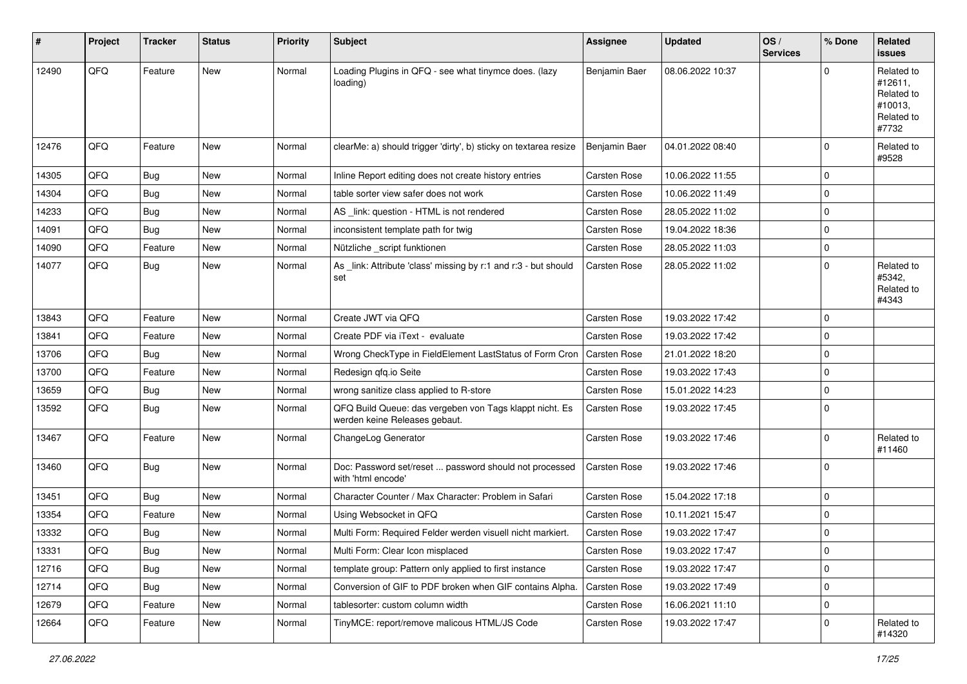| #     | Project | <b>Tracker</b> | <b>Status</b> | <b>Priority</b> | <b>Subject</b>                                                                           | Assignee            | <b>Updated</b>   | OS/<br><b>Services</b> | % Done      | Related<br><b>issues</b>                                              |
|-------|---------|----------------|---------------|-----------------|------------------------------------------------------------------------------------------|---------------------|------------------|------------------------|-------------|-----------------------------------------------------------------------|
| 12490 | QFQ     | Feature        | New           | Normal          | Loading Plugins in QFQ - see what tinymce does. (lazy<br>loading)                        | Benjamin Baer       | 08.06.2022 10:37 |                        | $\Omega$    | Related to<br>#12611,<br>Related to<br>#10013,<br>Related to<br>#7732 |
| 12476 | QFQ     | Feature        | New           | Normal          | clearMe: a) should trigger 'dirty', b) sticky on textarea resize                         | Benjamin Baer       | 04.01.2022 08:40 |                        | $\mathbf 0$ | Related to<br>#9528                                                   |
| 14305 | QFQ     | Bug            | New           | Normal          | Inline Report editing does not create history entries                                    | Carsten Rose        | 10.06.2022 11:55 |                        | $\mathbf 0$ |                                                                       |
| 14304 | QFQ     | Bug            | New           | Normal          | table sorter view safer does not work                                                    | <b>Carsten Rose</b> | 10.06.2022 11:49 |                        | $\mathbf 0$ |                                                                       |
| 14233 | QFQ     | <b>Bug</b>     | New           | Normal          | AS _link: question - HTML is not rendered                                                | Carsten Rose        | 28.05.2022 11:02 |                        | 0           |                                                                       |
| 14091 | QFQ     | <b>Bug</b>     | New           | Normal          | inconsistent template path for twig                                                      | Carsten Rose        | 19.04.2022 18:36 |                        | $\Omega$    |                                                                       |
| 14090 | QFQ     | Feature        | New           | Normal          | Nützliche _script funktionen                                                             | Carsten Rose        | 28.05.2022 11:03 |                        | $\mathbf 0$ |                                                                       |
| 14077 | QFQ     | Bug            | New           | Normal          | As _link: Attribute 'class' missing by r:1 and r:3 - but should<br>set                   | <b>Carsten Rose</b> | 28.05.2022 11:02 |                        | $\Omega$    | Related to<br>#5342,<br>Related to<br>#4343                           |
| 13843 | QFQ     | Feature        | <b>New</b>    | Normal          | Create JWT via QFQ                                                                       | <b>Carsten Rose</b> | 19.03.2022 17:42 |                        | $\Omega$    |                                                                       |
| 13841 | QFQ     | Feature        | New           | Normal          | Create PDF via iText - evaluate                                                          | <b>Carsten Rose</b> | 19.03.2022 17:42 |                        | $\Omega$    |                                                                       |
| 13706 | QFQ     | Bug            | New           | Normal          | Wrong CheckType in FieldElement LastStatus of Form Cron                                  | <b>Carsten Rose</b> | 21.01.2022 18:20 |                        | $\mathbf 0$ |                                                                       |
| 13700 | QFQ     | Feature        | New           | Normal          | Redesign qfq.io Seite                                                                    | Carsten Rose        | 19.03.2022 17:43 |                        | $\mathbf 0$ |                                                                       |
| 13659 | QFQ     | Bug            | <b>New</b>    | Normal          | wrong sanitize class applied to R-store                                                  | <b>Carsten Rose</b> | 15.01.2022 14:23 |                        | $\Omega$    |                                                                       |
| 13592 | QFQ     | <b>Bug</b>     | New           | Normal          | QFQ Build Queue: das vergeben von Tags klappt nicht. Es<br>werden keine Releases gebaut. | <b>Carsten Rose</b> | 19.03.2022 17:45 |                        | $\Omega$    |                                                                       |
| 13467 | QFQ     | Feature        | New           | Normal          | ChangeLog Generator                                                                      | Carsten Rose        | 19.03.2022 17:46 |                        | $\Omega$    | Related to<br>#11460                                                  |
| 13460 | QFQ     | <b>Bug</b>     | New           | Normal          | Doc: Password set/reset  password should not processed<br>with 'html encode'             | <b>Carsten Rose</b> | 19.03.2022 17:46 |                        | $\Omega$    |                                                                       |
| 13451 | QFQ     | Bug            | New           | Normal          | Character Counter / Max Character: Problem in Safari                                     | Carsten Rose        | 15.04.2022 17:18 |                        | $\mathbf 0$ |                                                                       |
| 13354 | QFQ     | Feature        | New           | Normal          | Using Websocket in QFQ                                                                   | <b>Carsten Rose</b> | 10.11.2021 15:47 |                        | $\Omega$    |                                                                       |
| 13332 | QFQ     | <b>Bug</b>     | New           | Normal          | Multi Form: Required Felder werden visuell nicht markiert.                               | Carsten Rose        | 19.03.2022 17:47 |                        | $\Omega$    |                                                                       |
| 13331 | QFQ     | <b>Bug</b>     | New           | Normal          | Multi Form: Clear Icon misplaced                                                         | Carsten Rose        | 19.03.2022 17:47 |                        | 0           |                                                                       |
| 12716 | QFQ     | <b>Bug</b>     | New           | Normal          | template group: Pattern only applied to first instance                                   | Carsten Rose        | 19.03.2022 17:47 |                        | $\mathbf 0$ |                                                                       |
| 12714 | QFQ     | Bug            | New           | Normal          | Conversion of GIF to PDF broken when GIF contains Alpha.                                 | Carsten Rose        | 19.03.2022 17:49 |                        | $\mathbf 0$ |                                                                       |
| 12679 | QFQ     | Feature        | New           | Normal          | tablesorter: custom column width                                                         | Carsten Rose        | 16.06.2021 11:10 |                        | $\mathbf 0$ |                                                                       |
| 12664 | QFQ     | Feature        | New           | Normal          | TinyMCE: report/remove malicous HTML/JS Code                                             | Carsten Rose        | 19.03.2022 17:47 |                        | 0           | Related to<br>#14320                                                  |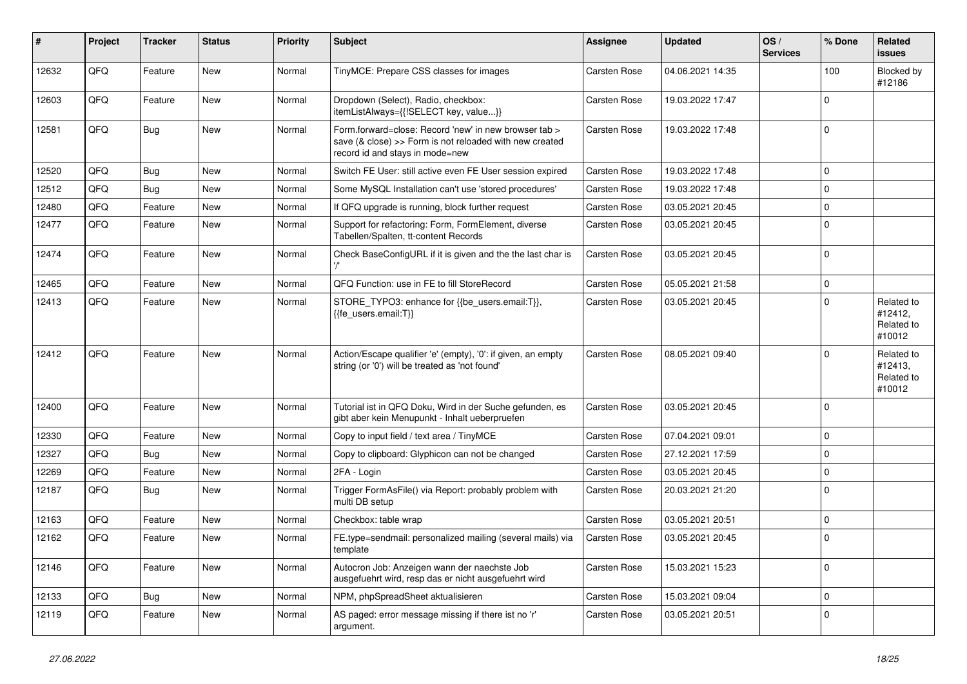| #     | Project | <b>Tracker</b> | <b>Status</b> | <b>Priority</b> | <b>Subject</b>                                                                                                                                      | Assignee            | <b>Updated</b>   | OS/<br><b>Services</b> | % Done      | Related<br>issues                             |
|-------|---------|----------------|---------------|-----------------|-----------------------------------------------------------------------------------------------------------------------------------------------------|---------------------|------------------|------------------------|-------------|-----------------------------------------------|
| 12632 | QFQ     | Feature        | New           | Normal          | TinyMCE: Prepare CSS classes for images                                                                                                             | Carsten Rose        | 04.06.2021 14:35 |                        | 100         | Blocked by<br>#12186                          |
| 12603 | QFQ     | Feature        | New           | Normal          | Dropdown (Select), Radio, checkbox:<br>itemListAlways={{!SELECT key, value}}                                                                        | Carsten Rose        | 19.03.2022 17:47 |                        | $\mathbf 0$ |                                               |
| 12581 | QFQ     | Bug            | New           | Normal          | Form.forward=close: Record 'new' in new browser tab ><br>save (& close) >> Form is not reloaded with new created<br>record id and stays in mode=new | Carsten Rose        | 19.03.2022 17:48 |                        | 0           |                                               |
| 12520 | QFQ     | Bug            | New           | Normal          | Switch FE User: still active even FE User session expired                                                                                           | Carsten Rose        | 19.03.2022 17:48 |                        | 0           |                                               |
| 12512 | QFQ     | <b>Bug</b>     | <b>New</b>    | Normal          | Some MySQL Installation can't use 'stored procedures'                                                                                               | Carsten Rose        | 19.03.2022 17:48 |                        | $\Omega$    |                                               |
| 12480 | QFQ     | Feature        | New           | Normal          | If QFQ upgrade is running, block further request                                                                                                    | Carsten Rose        | 03.05.2021 20:45 |                        | $\Omega$    |                                               |
| 12477 | QFQ     | Feature        | New           | Normal          | Support for refactoring: Form, FormElement, diverse<br>Tabellen/Spalten, tt-content Records                                                         | Carsten Rose        | 03.05.2021 20:45 |                        | $\mathbf 0$ |                                               |
| 12474 | QFQ     | Feature        | New           | Normal          | Check BaseConfigURL if it is given and the the last char is                                                                                         | Carsten Rose        | 03.05.2021 20:45 |                        | 0           |                                               |
| 12465 | QFQ     | Feature        | <b>New</b>    | Normal          | QFQ Function: use in FE to fill StoreRecord                                                                                                         | <b>Carsten Rose</b> | 05.05.2021 21:58 |                        | $\mathbf 0$ |                                               |
| 12413 | QFQ     | Feature        | New           | Normal          | STORE TYPO3: enhance for {{be users.email:T}},<br>{{fe_users.email:T}}                                                                              | Carsten Rose        | 03.05.2021 20:45 |                        | 0           | Related to<br>#12412,<br>Related to<br>#10012 |
| 12412 | QFQ     | Feature        | <b>New</b>    | Normal          | Action/Escape qualifier 'e' (empty), '0': if given, an empty<br>string (or '0') will be treated as 'not found'                                      | Carsten Rose        | 08.05.2021 09:40 |                        | $\Omega$    | Related to<br>#12413,<br>Related to<br>#10012 |
| 12400 | QFQ     | Feature        | New           | Normal          | Tutorial ist in QFQ Doku, Wird in der Suche gefunden, es<br>gibt aber kein Menupunkt - Inhalt ueberpruefen                                          | Carsten Rose        | 03.05.2021 20:45 |                        | $\Omega$    |                                               |
| 12330 | QFQ     | Feature        | New           | Normal          | Copy to input field / text area / TinyMCE                                                                                                           | Carsten Rose        | 07.04.2021 09:01 |                        | $\mathbf 0$ |                                               |
| 12327 | QFQ     | Bug            | New           | Normal          | Copy to clipboard: Glyphicon can not be changed                                                                                                     | Carsten Rose        | 27.12.2021 17:59 |                        | 0           |                                               |
| 12269 | QFQ     | Feature        | New           | Normal          | 2FA - Login                                                                                                                                         | Carsten Rose        | 03.05.2021 20:45 |                        | $\mathbf 0$ |                                               |
| 12187 | QFQ     | Bug            | New           | Normal          | Trigger FormAsFile() via Report: probably problem with<br>multi DB setup                                                                            | Carsten Rose        | 20.03.2021 21:20 |                        | $\Omega$    |                                               |
| 12163 | QFQ     | Feature        | <b>New</b>    | Normal          | Checkbox: table wrap                                                                                                                                | Carsten Rose        | 03.05.2021 20:51 |                        | $\mathbf 0$ |                                               |
| 12162 | QFQ     | Feature        | New           | Normal          | FE.type=sendmail: personalized mailing (several mails) via<br>template                                                                              | Carsten Rose        | 03.05.2021 20:45 |                        | $\mathbf 0$ |                                               |
| 12146 | QFQ     | Feature        | New           | Normal          | Autocron Job: Anzeigen wann der naechste Job<br>ausgefuehrt wird, resp das er nicht ausgefuehrt wird                                                | Carsten Rose        | 15.03.2021 15:23 |                        | $\mathbf 0$ |                                               |
| 12133 | QFQ     | Bug            | New           | Normal          | NPM, phpSpreadSheet aktualisieren                                                                                                                   | Carsten Rose        | 15.03.2021 09:04 |                        | $\mathbf 0$ |                                               |
| 12119 | QFQ     | Feature        | New           | Normal          | AS paged: error message missing if there ist no 'r'<br>argument.                                                                                    | Carsten Rose        | 03.05.2021 20:51 |                        | $\mathbf 0$ |                                               |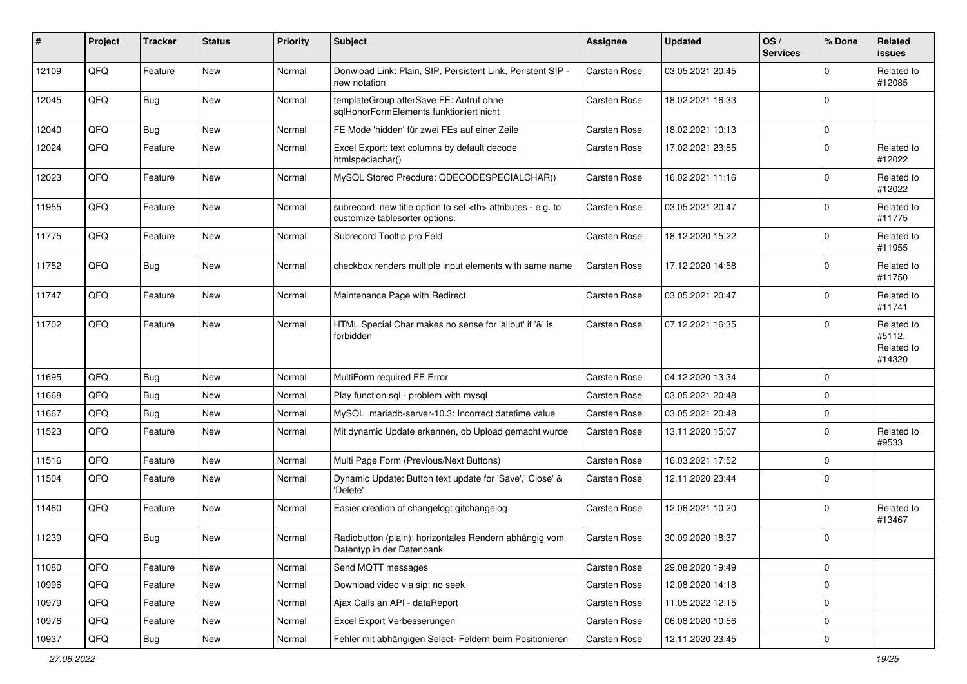| ∦     | Project | <b>Tracker</b> | <b>Status</b> | <b>Priority</b> | <b>Subject</b>                                                                                       | <b>Assignee</b>                                        | <b>Updated</b>   | OS/<br><b>Services</b> | % Done      | Related<br><b>issues</b>                     |                      |
|-------|---------|----------------|---------------|-----------------|------------------------------------------------------------------------------------------------------|--------------------------------------------------------|------------------|------------------------|-------------|----------------------------------------------|----------------------|
| 12109 | QFQ     | Feature        | New           | Normal          | Donwload Link: Plain, SIP, Persistent Link, Peristent SIP -<br>new notation                          | Carsten Rose                                           | 03.05.2021 20:45 |                        | $\Omega$    | Related to<br>#12085                         |                      |
| 12045 | QFQ     | Bug            | New           | Normal          | templateGroup afterSave FE: Aufruf ohne<br>sqlHonorFormElements funktioniert nicht                   | Carsten Rose                                           | 18.02.2021 16:33 |                        | $\mathbf 0$ |                                              |                      |
| 12040 | QFQ     | Bug            | <b>New</b>    | Normal          | FE Mode 'hidden' für zwei FEs auf einer Zeile                                                        | Carsten Rose                                           | 18.02.2021 10:13 |                        | $\mathbf 0$ |                                              |                      |
| 12024 | QFQ     | Feature        | <b>New</b>    | Normal          | Excel Export: text columns by default decode<br>htmlspeciachar()                                     | Carsten Rose                                           | 17.02.2021 23:55 |                        | $\mathbf 0$ | Related to<br>#12022                         |                      |
| 12023 | QFQ     | Feature        | <b>New</b>    | Normal          | MySQL Stored Precdure: QDECODESPECIALCHAR()                                                          | Carsten Rose                                           | 16.02.2021 11:16 |                        | $\Omega$    | Related to<br>#12022                         |                      |
| 11955 | QFQ     | Feature        | <b>New</b>    | Normal          | subrecord: new title option to set <th> attributes - e.g. to<br/>customize tablesorter options.</th> | attributes - e.g. to<br>customize tablesorter options. | Carsten Rose     | 03.05.2021 20:47       |             | $\mathbf 0$                                  | Related to<br>#11775 |
| 11775 | QFQ     | Feature        | New           | Normal          | Subrecord Tooltip pro Feld                                                                           | Carsten Rose                                           | 18.12.2020 15:22 |                        | $\mathbf 0$ | Related to<br>#11955                         |                      |
| 11752 | QFQ     | Bug            | New           | Normal          | checkbox renders multiple input elements with same name                                              | Carsten Rose                                           | 17.12.2020 14:58 |                        | $\mathbf 0$ | Related to<br>#11750                         |                      |
| 11747 | QFQ     | Feature        | <b>New</b>    | Normal          | Maintenance Page with Redirect                                                                       | Carsten Rose                                           | 03.05.2021 20:47 |                        | $\mathbf 0$ | Related to<br>#11741                         |                      |
| 11702 | QFQ     | Feature        | New           | Normal          | HTML Special Char makes no sense for 'allbut' if '&' is<br>forbidden                                 | Carsten Rose                                           | 07.12.2021 16:35 |                        | $\Omega$    | Related to<br>#5112,<br>Related to<br>#14320 |                      |
| 11695 | QFQ     | Bug            | <b>New</b>    | Normal          | MultiForm required FE Error                                                                          | Carsten Rose                                           | 04.12.2020 13:34 |                        | $\mathbf 0$ |                                              |                      |
| 11668 | QFQ     | Bug            | <b>New</b>    | Normal          | Play function.sql - problem with mysql                                                               | Carsten Rose                                           | 03.05.2021 20:48 |                        | $\mathbf 0$ |                                              |                      |
| 11667 | QFQ     | Bug            | <b>New</b>    | Normal          | MySQL mariadb-server-10.3: Incorrect datetime value                                                  | Carsten Rose                                           | 03.05.2021 20:48 |                        | 0           |                                              |                      |
| 11523 | QFQ     | Feature        | New           | Normal          | Mit dynamic Update erkennen, ob Upload gemacht wurde                                                 | Carsten Rose                                           | 13.11.2020 15:07 |                        | $\mathbf 0$ | Related to<br>#9533                          |                      |
| 11516 | QFQ     | Feature        | <b>New</b>    | Normal          | Multi Page Form (Previous/Next Buttons)                                                              | Carsten Rose                                           | 16.03.2021 17:52 |                        | $\mathbf 0$ |                                              |                      |
| 11504 | QFQ     | Feature        | New           | Normal          | Dynamic Update: Button text update for 'Save',' Close' &<br>'Delete'                                 | Carsten Rose                                           | 12.11.2020 23:44 |                        | $\mathbf 0$ |                                              |                      |
| 11460 | QFQ     | Feature        | <b>New</b>    | Normal          | Easier creation of changelog: gitchangelog                                                           | Carsten Rose                                           | 12.06.2021 10:20 |                        | $\Omega$    | Related to<br>#13467                         |                      |
| 11239 | QFQ     | Bug            | <b>New</b>    | Normal          | Radiobutton (plain): horizontales Rendern abhängig vom<br>Datentyp in der Datenbank                  | Carsten Rose                                           | 30.09.2020 18:37 |                        | 0           |                                              |                      |
| 11080 | QFQ     | Feature        | <b>New</b>    | Normal          | Send MQTT messages                                                                                   | Carsten Rose                                           | 29.08.2020 19:49 |                        | $\mathbf 0$ |                                              |                      |
| 10996 | QFQ     | Feature        | New           | Normal          | Download video via sip: no seek                                                                      | Carsten Rose                                           | 12.08.2020 14:18 |                        | 0           |                                              |                      |
| 10979 | QFQ     | Feature        | New           | Normal          | Ajax Calls an API - dataReport                                                                       | Carsten Rose                                           | 11.05.2022 12:15 |                        | $\mathbf 0$ |                                              |                      |
| 10976 | QFQ     | Feature        | New           | Normal          | Excel Export Verbesserungen                                                                          | Carsten Rose                                           | 06.08.2020 10:56 |                        | 0           |                                              |                      |
| 10937 | QFG     | Bug            | New           | Normal          | Fehler mit abhängigen Select- Feldern beim Positionieren                                             | Carsten Rose                                           | 12.11.2020 23:45 |                        | 0           |                                              |                      |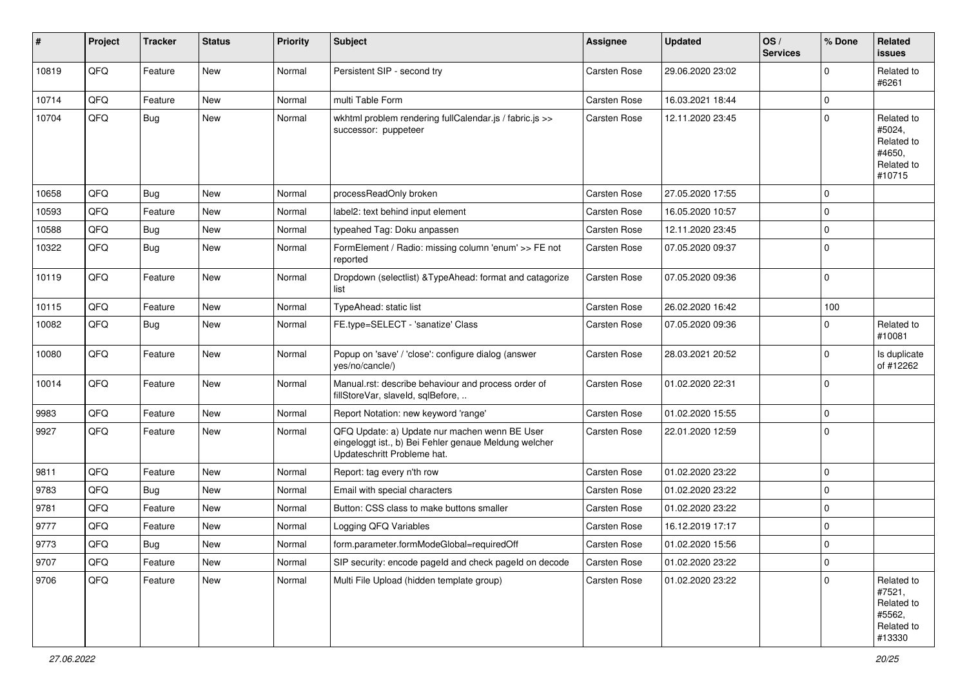| #     | Project | <b>Tracker</b> | <b>Status</b> | Priority | <b>Subject</b>                                                                                                                        | Assignee            | <b>Updated</b>   | OS/<br><b>Services</b> | % Done      | Related<br><b>issues</b>                                             |
|-------|---------|----------------|---------------|----------|---------------------------------------------------------------------------------------------------------------------------------------|---------------------|------------------|------------------------|-------------|----------------------------------------------------------------------|
| 10819 | QFQ     | Feature        | New           | Normal   | Persistent SIP - second try                                                                                                           | <b>Carsten Rose</b> | 29.06.2020 23:02 |                        | $\Omega$    | Related to<br>#6261                                                  |
| 10714 | QFQ     | Feature        | <b>New</b>    | Normal   | multi Table Form                                                                                                                      | <b>Carsten Rose</b> | 16.03.2021 18:44 |                        | $\mathbf 0$ |                                                                      |
| 10704 | QFQ     | Bug            | New           | Normal   | wkhtml problem rendering fullCalendar.js / fabric.js >><br>successor: puppeteer                                                       | Carsten Rose        | 12.11.2020 23:45 |                        | $\Omega$    | Related to<br>#5024,<br>Related to<br>#4650,<br>Related to<br>#10715 |
| 10658 | QFQ     | Bug            | <b>New</b>    | Normal   | processReadOnly broken                                                                                                                | <b>Carsten Rose</b> | 27.05.2020 17:55 |                        | $\Omega$    |                                                                      |
| 10593 | QFQ     | Feature        | New           | Normal   | label2: text behind input element                                                                                                     | Carsten Rose        | 16.05.2020 10:57 |                        | $\Omega$    |                                                                      |
| 10588 | QFQ     | Bug            | <b>New</b>    | Normal   | typeahed Tag: Doku anpassen                                                                                                           | <b>Carsten Rose</b> | 12.11.2020 23:45 |                        | $\Omega$    |                                                                      |
| 10322 | QFQ     | Bug            | <b>New</b>    | Normal   | FormElement / Radio: missing column 'enum' >> FE not<br>reported                                                                      | <b>Carsten Rose</b> | 07.05.2020 09:37 |                        | $\Omega$    |                                                                      |
| 10119 | QFQ     | Feature        | New           | Normal   | Dropdown (selectlist) & TypeAhead: format and catagorize<br>list                                                                      | <b>Carsten Rose</b> | 07.05.2020 09:36 |                        | $\Omega$    |                                                                      |
| 10115 | QFQ     | Feature        | <b>New</b>    | Normal   | TypeAhead: static list                                                                                                                | <b>Carsten Rose</b> | 26.02.2020 16:42 |                        | 100         |                                                                      |
| 10082 | QFQ     | Bug            | <b>New</b>    | Normal   | FE.type=SELECT - 'sanatize' Class                                                                                                     | Carsten Rose        | 07.05.2020 09:36 |                        | 0           | Related to<br>#10081                                                 |
| 10080 | QFQ     | Feature        | New           | Normal   | Popup on 'save' / 'close': configure dialog (answer<br>yes/no/cancle/)                                                                | <b>Carsten Rose</b> | 28.03.2021 20:52 |                        | $\Omega$    | Is duplicate<br>of #12262                                            |
| 10014 | QFQ     | Feature        | <b>New</b>    | Normal   | Manual.rst: describe behaviour and process order of<br>fillStoreVar, slaveId, sqlBefore,                                              | Carsten Rose        | 01.02.2020 22:31 |                        | $\Omega$    |                                                                      |
| 9983  | QFQ     | Feature        | New           | Normal   | Report Notation: new keyword 'range'                                                                                                  | Carsten Rose        | 01.02.2020 15:55 |                        | $\Omega$    |                                                                      |
| 9927  | QFQ     | Feature        | <b>New</b>    | Normal   | QFQ Update: a) Update nur machen wenn BE User<br>eingeloggt ist., b) Bei Fehler genaue Meldung welcher<br>Updateschritt Probleme hat. | Carsten Rose        | 22.01.2020 12:59 |                        | $\mathbf 0$ |                                                                      |
| 9811  | QFQ     | Feature        | <b>New</b>    | Normal   | Report: tag every n'th row                                                                                                            | <b>Carsten Rose</b> | 01.02.2020 23:22 |                        | $\mathbf 0$ |                                                                      |
| 9783  | QFQ     | Bug            | <b>New</b>    | Normal   | Email with special characters                                                                                                         | <b>Carsten Rose</b> | 01.02.2020 23:22 |                        | $\mathbf 0$ |                                                                      |
| 9781  | QFQ     | Feature        | <b>New</b>    | Normal   | Button: CSS class to make buttons smaller                                                                                             | <b>Carsten Rose</b> | 01.02.2020 23:22 |                        | $\Omega$    |                                                                      |
| 9777  | QFQ     | Feature        | <b>New</b>    | Normal   | Logging QFQ Variables                                                                                                                 | <b>Carsten Rose</b> | 16.12.2019 17:17 |                        | $\Omega$    |                                                                      |
| 9773  | QFQ     | <b>Bug</b>     | New           | Normal   | form.parameter.formModeGlobal=requiredOff                                                                                             | Carsten Rose        | 01.02.2020 15:56 |                        | $\Omega$    |                                                                      |
| 9707  | QFQ     | Feature        | New           | Normal   | SIP security: encode pageld and check pageld on decode                                                                                | Carsten Rose        | 01.02.2020 23:22 |                        | $\mathbf 0$ |                                                                      |
| 9706  | QFQ     | Feature        | New           | Normal   | Multi File Upload (hidden template group)                                                                                             | Carsten Rose        | 01.02.2020 23:22 |                        | $\mathbf 0$ | Related to<br>#7521,<br>Related to<br>#5562,<br>Related to<br>#13330 |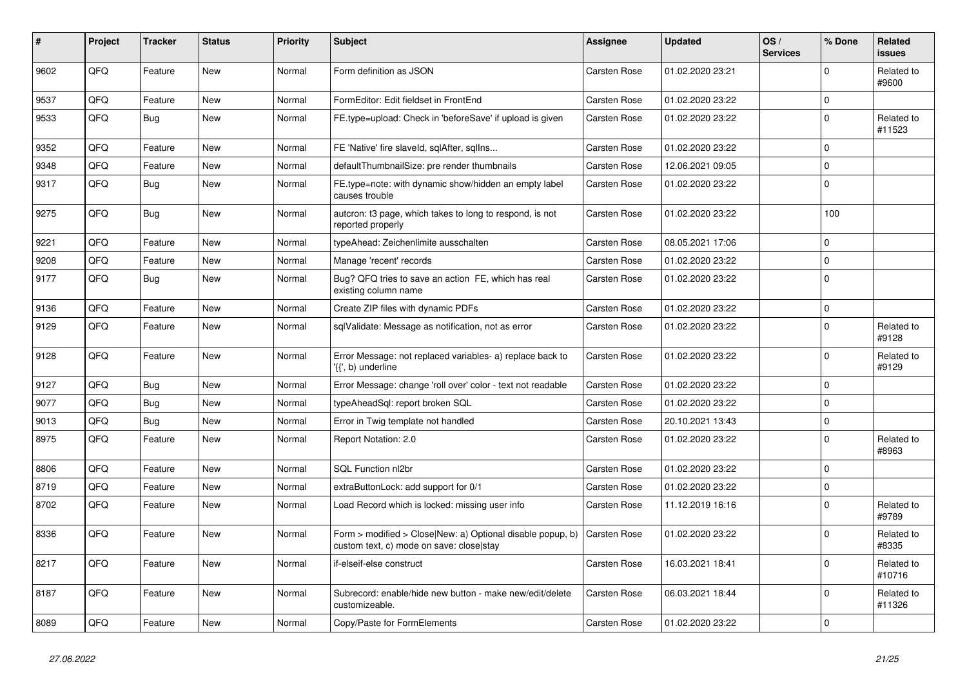| #    | Project | <b>Tracker</b> | <b>Status</b> | <b>Priority</b> | <b>Subject</b>                                                                                         | Assignee            | <b>Updated</b>   | OS/<br><b>Services</b> | % Done   | Related<br><b>issues</b> |
|------|---------|----------------|---------------|-----------------|--------------------------------------------------------------------------------------------------------|---------------------|------------------|------------------------|----------|--------------------------|
| 9602 | QFQ     | Feature        | <b>New</b>    | Normal          | Form definition as JSON                                                                                | Carsten Rose        | 01.02.2020 23:21 |                        | $\Omega$ | Related to<br>#9600      |
| 9537 | QFQ     | Feature        | <b>New</b>    | Normal          | FormEditor: Edit fieldset in FrontEnd                                                                  | <b>Carsten Rose</b> | 01.02.2020 23:22 |                        | $\Omega$ |                          |
| 9533 | QFQ     | <b>Bug</b>     | <b>New</b>    | Normal          | FE.type=upload: Check in 'beforeSave' if upload is given                                               | Carsten Rose        | 01.02.2020 23:22 |                        | $\Omega$ | Related to<br>#11523     |
| 9352 | QFQ     | Feature        | <b>New</b>    | Normal          | FE 'Native' fire slaveld, sqlAfter, sqlIns                                                             | Carsten Rose        | 01.02.2020 23:22 |                        | $\Omega$ |                          |
| 9348 | QFQ     | Feature        | <b>New</b>    | Normal          | defaultThumbnailSize: pre render thumbnails                                                            | Carsten Rose        | 12.06.2021 09:05 |                        | $\Omega$ |                          |
| 9317 | QFQ     | Bug            | <b>New</b>    | Normal          | FE.type=note: with dynamic show/hidden an empty label<br>causes trouble                                | <b>Carsten Rose</b> | 01.02.2020 23:22 |                        | $\Omega$ |                          |
| 9275 | QFQ     | Bug            | <b>New</b>    | Normal          | autcron: t3 page, which takes to long to respond, is not<br>reported properly                          | <b>Carsten Rose</b> | 01.02.2020 23:22 |                        | 100      |                          |
| 9221 | QFQ     | Feature        | <b>New</b>    | Normal          | typeAhead: Zeichenlimite ausschalten                                                                   | <b>Carsten Rose</b> | 08.05.2021 17:06 |                        | $\Omega$ |                          |
| 9208 | QFQ     | Feature        | <b>New</b>    | Normal          | Manage 'recent' records                                                                                | Carsten Rose        | 01.02.2020 23:22 |                        | $\Omega$ |                          |
| 9177 | QFQ     | Bug            | <b>New</b>    | Normal          | Bug? QFQ tries to save an action FE, which has real<br>existing column name                            | <b>Carsten Rose</b> | 01.02.2020 23:22 |                        | $\Omega$ |                          |
| 9136 | QFQ     | Feature        | <b>New</b>    | Normal          | Create ZIP files with dynamic PDFs                                                                     | Carsten Rose        | 01.02.2020 23:22 |                        | $\Omega$ |                          |
| 9129 | QFQ     | Feature        | <b>New</b>    | Normal          | sqlValidate: Message as notification, not as error                                                     | Carsten Rose        | 01.02.2020 23:22 |                        | $\Omega$ | Related to<br>#9128      |
| 9128 | QFQ     | Feature        | <b>New</b>    | Normal          | Error Message: not replaced variables- a) replace back to<br>'{{', b) underline                        | <b>Carsten Rose</b> | 01.02.2020 23:22 |                        | $\Omega$ | Related to<br>#9129      |
| 9127 | QFQ     | Bug            | <b>New</b>    | Normal          | Error Message: change 'roll over' color - text not readable                                            | <b>Carsten Rose</b> | 01.02.2020 23:22 |                        | $\Omega$ |                          |
| 9077 | QFQ     | <b>Bug</b>     | <b>New</b>    | Normal          | typeAheadSql: report broken SQL                                                                        | Carsten Rose        | 01.02.2020 23:22 |                        | $\Omega$ |                          |
| 9013 | QFQ     | <b>Bug</b>     | <b>New</b>    | Normal          | Error in Twig template not handled                                                                     | Carsten Rose        | 20.10.2021 13:43 |                        | $\Omega$ |                          |
| 8975 | QFQ     | Feature        | <b>New</b>    | Normal          | Report Notation: 2.0                                                                                   | Carsten Rose        | 01.02.2020 23:22 |                        | $\Omega$ | Related to<br>#8963      |
| 8806 | QFQ     | Feature        | <b>New</b>    | Normal          | SQL Function nl2br                                                                                     | Carsten Rose        | 01.02.2020 23:22 |                        | $\Omega$ |                          |
| 8719 | QFQ     | Feature        | <b>New</b>    | Normal          | extraButtonLock: add support for 0/1                                                                   | Carsten Rose        | 01.02.2020 23:22 |                        | $\Omega$ |                          |
| 8702 | QFQ     | Feature        | <b>New</b>    | Normal          | Load Record which is locked: missing user info                                                         | Carsten Rose        | 11.12.2019 16:16 |                        | $\Omega$ | Related to<br>#9789      |
| 8336 | QFQ     | Feature        | <b>New</b>    | Normal          | Form > modified > Close New: a) Optional disable popup, b)<br>custom text, c) mode on save: close stay | Carsten Rose        | 01.02.2020 23:22 |                        | $\Omega$ | Related to<br>#8335      |
| 8217 | QFQ     | Feature        | <b>New</b>    | Normal          | if-elseif-else construct                                                                               | <b>Carsten Rose</b> | 16.03.2021 18:41 |                        | $\Omega$ | Related to<br>#10716     |
| 8187 | QFQ     | Feature        | <b>New</b>    | Normal          | Subrecord: enable/hide new button - make new/edit/delete<br>customizeable.                             | Carsten Rose        | 06.03.2021 18:44 |                        | $\Omega$ | Related to<br>#11326     |
| 8089 | QFQ     | Feature        | New           | Normal          | Copy/Paste for FormElements                                                                            | Carsten Rose        | 01.02.2020 23:22 |                        | $\Omega$ |                          |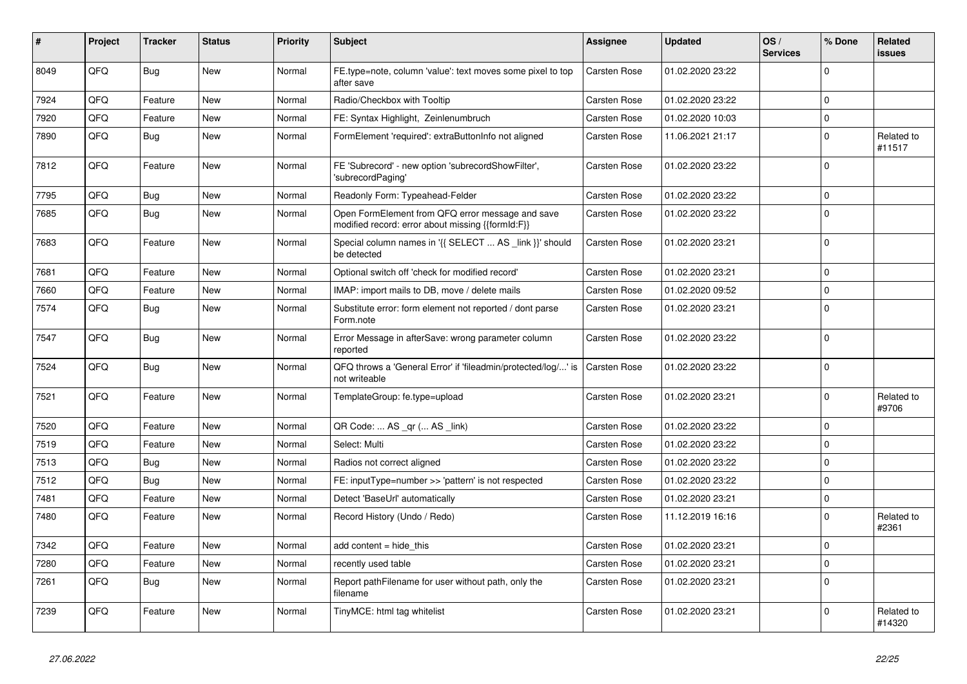| #    | Project | <b>Tracker</b> | <b>Status</b> | <b>Priority</b> | <b>Subject</b>                                                                                        | Assignee            | <b>Updated</b>   | OS/<br><b>Services</b> | % Done      | Related<br>issues    |
|------|---------|----------------|---------------|-----------------|-------------------------------------------------------------------------------------------------------|---------------------|------------------|------------------------|-------------|----------------------|
| 8049 | QFQ     | Bug            | <b>New</b>    | Normal          | FE.type=note, column 'value': text moves some pixel to top<br>after save                              | <b>Carsten Rose</b> | 01.02.2020 23:22 |                        | $\Omega$    |                      |
| 7924 | QFQ     | Feature        | <b>New</b>    | Normal          | Radio/Checkbox with Tooltip                                                                           | <b>Carsten Rose</b> | 01.02.2020 23:22 |                        | $\Omega$    |                      |
| 7920 | QFQ     | Feature        | New           | Normal          | FE: Syntax Highlight, Zeinlenumbruch                                                                  | <b>Carsten Rose</b> | 01.02.2020 10:03 |                        | 0           |                      |
| 7890 | QFQ     | <b>Bug</b>     | New           | Normal          | FormElement 'required': extraButtonInfo not aligned                                                   | Carsten Rose        | 11.06.2021 21:17 |                        | $\Omega$    | Related to<br>#11517 |
| 7812 | QFQ     | Feature        | New           | Normal          | FE 'Subrecord' - new option 'subrecordShowFilter',<br>'subrecordPaging'                               | <b>Carsten Rose</b> | 01.02.2020 23:22 |                        | 0           |                      |
| 7795 | QFQ     | <b>Bug</b>     | New           | Normal          | Readonly Form: Typeahead-Felder                                                                       | Carsten Rose        | 01.02.2020 23:22 |                        | $\Omega$    |                      |
| 7685 | QFQ     | Bug            | New           | Normal          | Open FormElement from QFQ error message and save<br>modified record: error about missing {{formId:F}} | <b>Carsten Rose</b> | 01.02.2020 23:22 |                        | $\Omega$    |                      |
| 7683 | QFQ     | Feature        | New           | Normal          | Special column names in '{{ SELECT  AS _link }}' should<br>be detected                                | Carsten Rose        | 01.02.2020 23:21 |                        | $\Omega$    |                      |
| 7681 | QFQ     | Feature        | <b>New</b>    | Normal          | Optional switch off 'check for modified record'                                                       | Carsten Rose        | 01.02.2020 23:21 |                        | $\mathbf 0$ |                      |
| 7660 | QFQ     | Feature        | New           | Normal          | IMAP: import mails to DB, move / delete mails                                                         | <b>Carsten Rose</b> | 01.02.2020 09:52 |                        | $\mathbf 0$ |                      |
| 7574 | QFQ     | Bug            | New           | Normal          | Substitute error: form element not reported / dont parse<br>Form.note                                 | Carsten Rose        | 01.02.2020 23:21 |                        | $\Omega$    |                      |
| 7547 | QFQ     | Bug            | New           | Normal          | Error Message in afterSave: wrong parameter column<br>reported                                        | <b>Carsten Rose</b> | 01.02.2020 23:22 |                        | $\Omega$    |                      |
| 7524 | QFQ     | <b>Bug</b>     | New           | Normal          | QFQ throws a 'General Error' if 'fileadmin/protected/log/' is<br>not writeable                        | <b>Carsten Rose</b> | 01.02.2020 23:22 |                        | $\Omega$    |                      |
| 7521 | QFQ     | Feature        | New           | Normal          | TemplateGroup: fe.type=upload                                                                         | Carsten Rose        | 01.02.2020 23:21 |                        | $\Omega$    | Related to<br>#9706  |
| 7520 | QFQ     | Feature        | <b>New</b>    | Normal          | QR Code:  AS _qr ( AS _link)                                                                          | Carsten Rose        | 01.02.2020 23:22 |                        | 0           |                      |
| 7519 | QFQ     | Feature        | New           | Normal          | Select: Multi                                                                                         | Carsten Rose        | 01.02.2020 23:22 |                        | $\Omega$    |                      |
| 7513 | QFQ     | <b>Bug</b>     | New           | Normal          | Radios not correct aligned                                                                            | <b>Carsten Rose</b> | 01.02.2020 23:22 |                        | 0           |                      |
| 7512 | QFQ     | Bug            | New           | Normal          | FE: inputType=number >> 'pattern' is not respected                                                    | Carsten Rose        | 01.02.2020 23:22 |                        | $\Omega$    |                      |
| 7481 | QFQ     | Feature        | New           | Normal          | Detect 'BaseUrl' automatically                                                                        | Carsten Rose        | 01.02.2020 23:21 |                        | $\Omega$    |                      |
| 7480 | QFQ     | Feature        | New           | Normal          | Record History (Undo / Redo)                                                                          | Carsten Rose        | 11.12.2019 16:16 |                        | $\Omega$    | Related to<br>#2361  |
| 7342 | QFQ     | Feature        | New           | Normal          | add content = hide this                                                                               | Carsten Rose        | 01.02.2020 23:21 |                        | $\Omega$    |                      |
| 7280 | QFQ     | Feature        | <b>New</b>    | Normal          | recently used table                                                                                   | <b>Carsten Rose</b> | 01.02.2020 23:21 |                        | $\Omega$    |                      |
| 7261 | QFQ     | <b>Bug</b>     | <b>New</b>    | Normal          | Report pathFilename for user without path, only the<br>filename                                       | Carsten Rose        | 01.02.2020 23:21 |                        | 0           |                      |
| 7239 | QFQ     | Feature        | New           | Normal          | TinyMCE: html tag whitelist                                                                           | Carsten Rose        | 01.02.2020 23:21 |                        | $\Omega$    | Related to<br>#14320 |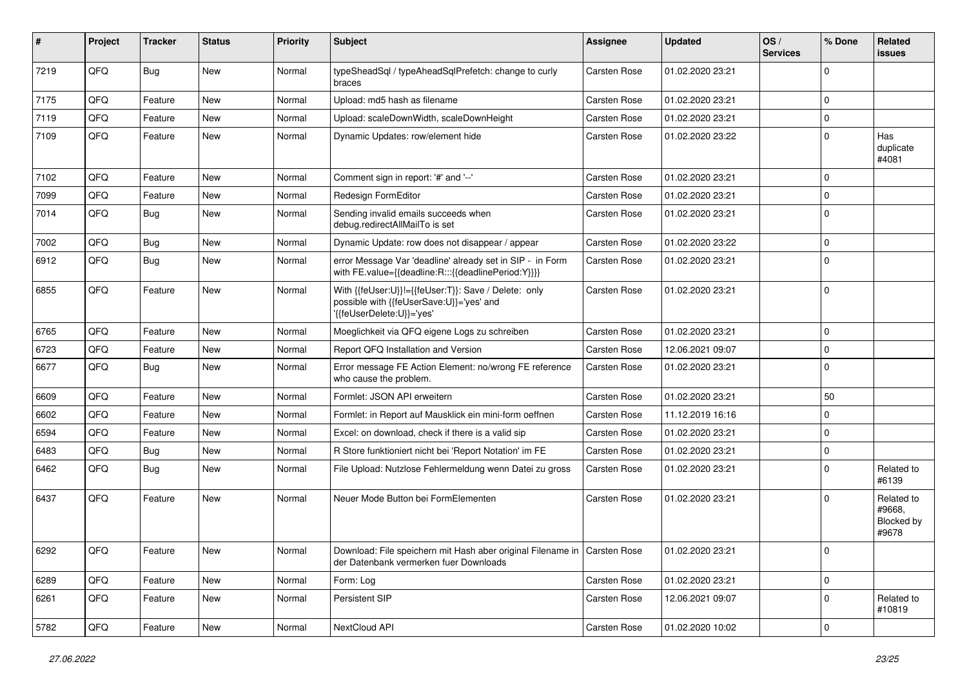| ∦    | Project | <b>Tracker</b> | <b>Status</b> | <b>Priority</b> | Subject                                                                                                                       | Assignee     | <b>Updated</b>   | OS/<br><b>Services</b> | % Done      | Related<br><b>issues</b>                    |
|------|---------|----------------|---------------|-----------------|-------------------------------------------------------------------------------------------------------------------------------|--------------|------------------|------------------------|-------------|---------------------------------------------|
| 7219 | QFQ     | Bug            | New           | Normal          | typeSheadSql / typeAheadSqlPrefetch: change to curly<br>braces                                                                | Carsten Rose | 01.02.2020 23:21 |                        | $\Omega$    |                                             |
| 7175 | QFQ     | Feature        | <b>New</b>    | Normal          | Upload: md5 hash as filename                                                                                                  | Carsten Rose | 01.02.2020 23:21 |                        | $\Omega$    |                                             |
| 7119 | QFQ     | Feature        | <b>New</b>    | Normal          | Upload: scaleDownWidth, scaleDownHeight                                                                                       | Carsten Rose | 01.02.2020 23:21 |                        | $\Omega$    |                                             |
| 7109 | QFQ     | Feature        | New           | Normal          | Dynamic Updates: row/element hide                                                                                             | Carsten Rose | 01.02.2020 23:22 |                        | $\Omega$    | Has<br>duplicate<br>#4081                   |
| 7102 | QFQ     | Feature        | <b>New</b>    | Normal          | Comment sign in report: '#' and '--'                                                                                          | Carsten Rose | 01.02.2020 23:21 |                        | $\Omega$    |                                             |
| 7099 | QFQ     | Feature        | <b>New</b>    | Normal          | Redesign FormEditor                                                                                                           | Carsten Rose | 01.02.2020 23:21 |                        | $\Omega$    |                                             |
| 7014 | QFQ     | Bug            | <b>New</b>    | Normal          | Sending invalid emails succeeds when<br>debug.redirectAllMailTo is set                                                        | Carsten Rose | 01.02.2020 23:21 |                        | $\Omega$    |                                             |
| 7002 | QFQ     | Bug            | New           | Normal          | Dynamic Update: row does not disappear / appear                                                                               | Carsten Rose | 01.02.2020 23:22 |                        | $\mathbf 0$ |                                             |
| 6912 | QFQ     | Bug            | <b>New</b>    | Normal          | error Message Var 'deadline' already set in SIP - in Form<br>with FE.value={{deadline:R:::{{deadlinePeriod:Y}}}}              | Carsten Rose | 01.02.2020 23:21 |                        | $\Omega$    |                                             |
| 6855 | QFQ     | Feature        | <b>New</b>    | Normal          | With {{feUser:U}}!={{feUser:T}}: Save / Delete: only<br>possible with {{feUserSave:U}}='yes' and<br>'{{feUserDelete:U}}='yes' | Carsten Rose | 01.02.2020 23:21 |                        | $\mathbf 0$ |                                             |
| 6765 | QFQ     | Feature        | New           | Normal          | Moeglichkeit via QFQ eigene Logs zu schreiben                                                                                 | Carsten Rose | 01.02.2020 23:21 |                        | $\Omega$    |                                             |
| 6723 | QFQ     | Feature        | New           | Normal          | Report QFQ Installation and Version                                                                                           | Carsten Rose | 12.06.2021 09:07 |                        | $\Omega$    |                                             |
| 6677 | QFQ     | Bug            | New           | Normal          | Error message FE Action Element: no/wrong FE reference<br>who cause the problem.                                              | Carsten Rose | 01.02.2020 23:21 |                        | $\Omega$    |                                             |
| 6609 | QFQ     | Feature        | <b>New</b>    | Normal          | Formlet: JSON API erweitern                                                                                                   | Carsten Rose | 01.02.2020 23:21 |                        | 50          |                                             |
| 6602 | QFQ     | Feature        | <b>New</b>    | Normal          | Formlet: in Report auf Mausklick ein mini-form oeffnen                                                                        | Carsten Rose | 11.12.2019 16:16 |                        | $\Omega$    |                                             |
| 6594 | QFQ     | Feature        | New           | Normal          | Excel: on download, check if there is a valid sip                                                                             | Carsten Rose | 01.02.2020 23:21 |                        | $\Omega$    |                                             |
| 6483 | QFQ     | Bug            | <b>New</b>    | Normal          | R Store funktioniert nicht bei 'Report Notation' im FE                                                                        | Carsten Rose | 01.02.2020 23:21 |                        | $\Omega$    |                                             |
| 6462 | QFQ     | Bug            | New           | Normal          | File Upload: Nutzlose Fehlermeldung wenn Datei zu gross                                                                       | Carsten Rose | 01.02.2020 23:21 |                        | $\Omega$    | Related to<br>#6139                         |
| 6437 | QFQ     | Feature        | New           | Normal          | Neuer Mode Button bei FormElementen                                                                                           | Carsten Rose | 01.02.2020 23:21 |                        | $\Omega$    | Related to<br>#9668,<br>Blocked by<br>#9678 |
| 6292 | QFQ     | Feature        | New           | Normal          | Download: File speichern mit Hash aber original Filename in   Carsten Rose<br>der Datenbank vermerken fuer Downloads          |              | 01.02.2020 23:21 |                        | 0           |                                             |
| 6289 | QFQ     | Feature        | New           | Normal          | Form: Log                                                                                                                     | Carsten Rose | 01.02.2020 23:21 |                        | $\mathbf 0$ |                                             |
| 6261 | QFQ     | Feature        | New           | Normal          | Persistent SIP                                                                                                                | Carsten Rose | 12.06.2021 09:07 |                        | $\Omega$    | Related to<br>#10819                        |
| 5782 | QFQ     | Feature        | New           | Normal          | NextCloud API                                                                                                                 | Carsten Rose | 01.02.2020 10:02 |                        | $\mathbf 0$ |                                             |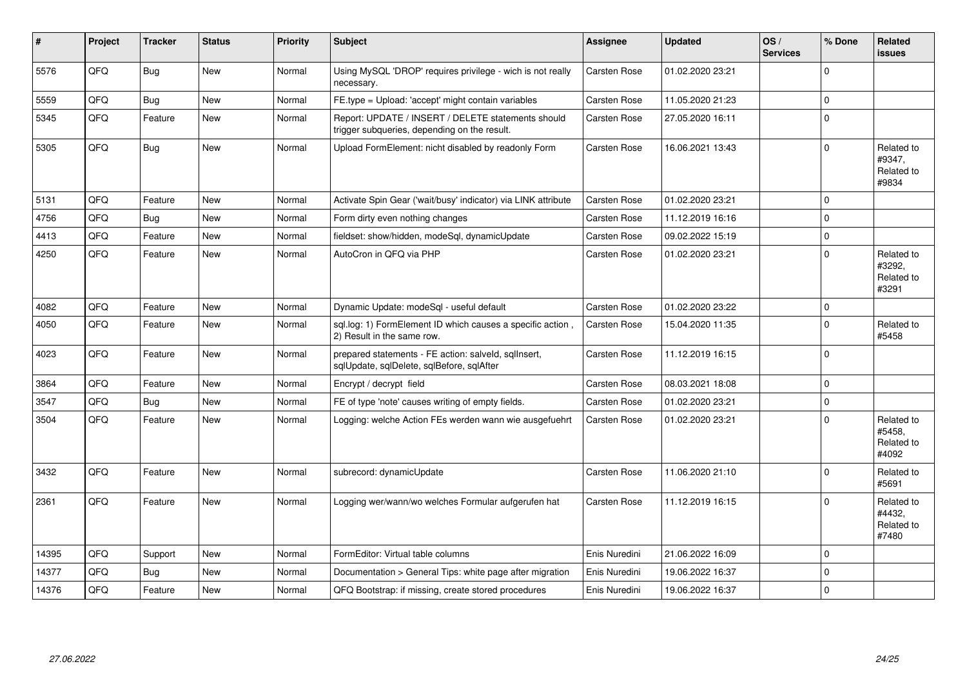| #     | Project | <b>Tracker</b> | <b>Status</b> | <b>Priority</b> | Subject                                                                                            | Assignee            | <b>Updated</b>   | OS/<br><b>Services</b> | % Done      | Related<br><b>issues</b>                    |
|-------|---------|----------------|---------------|-----------------|----------------------------------------------------------------------------------------------------|---------------------|------------------|------------------------|-------------|---------------------------------------------|
| 5576  | QFQ     | Bug            | <b>New</b>    | Normal          | Using MySQL 'DROP' requires privilege - wich is not really<br>necessary.                           | Carsten Rose        | 01.02.2020 23:21 |                        | $\Omega$    |                                             |
| 5559  | QFQ     | <b>Bug</b>     | New           | Normal          | FE.type = Upload: 'accept' might contain variables                                                 | Carsten Rose        | 11.05.2020 21:23 |                        | $\Omega$    |                                             |
| 5345  | QFQ     | Feature        | New           | Normal          | Report: UPDATE / INSERT / DELETE statements should<br>trigger subqueries, depending on the result. | <b>Carsten Rose</b> | 27.05.2020 16:11 |                        | $\Omega$    |                                             |
| 5305  | QFQ     | <b>Bug</b>     | New           | Normal          | Upload FormElement: nicht disabled by readonly Form                                                | <b>Carsten Rose</b> | 16.06.2021 13:43 |                        | $\Omega$    | Related to<br>#9347,<br>Related to<br>#9834 |
| 5131  | QFQ     | Feature        | <b>New</b>    | Normal          | Activate Spin Gear ('wait/busy' indicator) via LINK attribute                                      | <b>Carsten Rose</b> | 01.02.2020 23:21 |                        | $\Omega$    |                                             |
| 4756  | QFQ     | Bug            | <b>New</b>    | Normal          | Form dirty even nothing changes                                                                    | <b>Carsten Rose</b> | 11.12.2019 16:16 |                        | $\Omega$    |                                             |
| 4413  | QFQ     | Feature        | <b>New</b>    | Normal          | fieldset: show/hidden, modeSgl, dynamicUpdate                                                      | <b>Carsten Rose</b> | 09.02.2022 15:19 |                        | $\Omega$    |                                             |
| 4250  | QFQ     | Feature        | New           | Normal          | AutoCron in QFQ via PHP                                                                            | Carsten Rose        | 01.02.2020 23:21 |                        | $\Omega$    | Related to<br>#3292,<br>Related to<br>#3291 |
| 4082  | QFQ     | Feature        | New           | Normal          | Dynamic Update: modeSql - useful default                                                           | Carsten Rose        | 01.02.2020 23:22 |                        | $\mathbf 0$ |                                             |
| 4050  | QFQ     | Feature        | New           | Normal          | sql.log: 1) FormElement ID which causes a specific action,<br>2) Result in the same row.           | <b>Carsten Rose</b> | 15.04.2020 11:35 |                        | $\mathbf 0$ | Related to<br>#5458                         |
| 4023  | QFQ     | Feature        | New           | Normal          | prepared statements - FE action: salveld, sqlInsert,<br>sqlUpdate, sqlDelete, sqlBefore, sqlAfter  | Carsten Rose        | 11.12.2019 16:15 |                        | $\Omega$    |                                             |
| 3864  | QFQ     | Feature        | New           | Normal          | Encrypt / decrypt field                                                                            | <b>Carsten Rose</b> | 08.03.2021 18:08 |                        | $\mathbf 0$ |                                             |
| 3547  | QFQ     | Bug            | <b>New</b>    | Normal          | FE of type 'note' causes writing of empty fields.                                                  | <b>Carsten Rose</b> | 01.02.2020 23:21 |                        | $\Omega$    |                                             |
| 3504  | QFQ     | Feature        | New           | Normal          | Logging: welche Action FEs werden wann wie ausgefuehrt                                             | <b>Carsten Rose</b> | 01.02.2020 23:21 |                        | $\Omega$    | Related to<br>#5458,<br>Related to<br>#4092 |
| 3432  | QFQ     | Feature        | <b>New</b>    | Normal          | subrecord: dynamicUpdate                                                                           | Carsten Rose        | 11.06.2020 21:10 |                        | $\Omega$    | Related to<br>#5691                         |
| 2361  | QFQ     | Feature        | <b>New</b>    | Normal          | Logging wer/wann/wo welches Formular aufgerufen hat                                                | <b>Carsten Rose</b> | 11.12.2019 16:15 |                        | $\Omega$    | Related to<br>#4432.<br>Related to<br>#7480 |
| 14395 | QFQ     | Support        | New           | Normal          | FormEditor: Virtual table columns                                                                  | Enis Nuredini       | 21.06.2022 16:09 |                        | $\Omega$    |                                             |
| 14377 | QFQ     | Bug            | <b>New</b>    | Normal          | Documentation > General Tips: white page after migration                                           | Enis Nuredini       | 19.06.2022 16:37 |                        | $\Omega$    |                                             |
| 14376 | QFQ     | Feature        | New           | Normal          | QFQ Bootstrap: if missing, create stored procedures                                                | Enis Nuredini       | 19.06.2022 16:37 |                        | $\Omega$    |                                             |